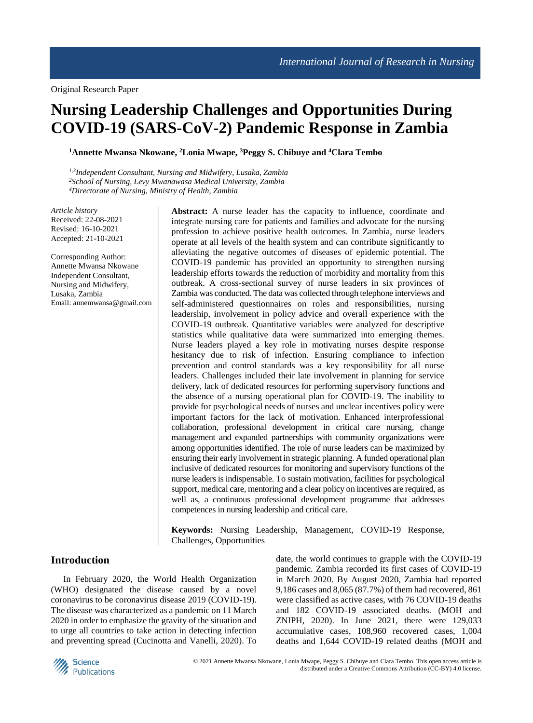# **Nursing Leadership Challenges and Opportunities During COVID-19 (SARS-CoV-2) Pandemic Response in Zambia**

**<sup>1</sup>Annette Mwansa Nkowane, <sup>2</sup>Lonia Mwape, <sup>3</sup>Peggy S. Chibuye and <sup>4</sup>Clara Tembo**

*1,3Independent Consultant, Nursing and Midwifery, Lusaka, Zambia <sup>2</sup>School of Nursing, Levy Mwanawasa Medical University, Zambia <sup>4</sup>Directorate of Nursing, Ministry of Health, Zambia*

*Article history* Received: 22-08-2021 Revised: 16-10-2021 Accepted: 21-10-2021

Corresponding Author: Annette Mwansa Nkowane Independent Consultant, Nursing and Midwifery, Lusaka, Zambia Email: annemwansa@gmail.com **Abstract:** A nurse leader has the capacity to influence, coordinate and integrate nursing care for patients and families and advocate for the nursing profession to achieve positive health outcomes. In Zambia, nurse leaders operate at all levels of the health system and can contribute significantly to alleviating the negative outcomes of diseases of epidemic potential. The COVID-19 pandemic has provided an opportunity to strengthen nursing leadership efforts towards the reduction of morbidity and mortality from this outbreak. A cross-sectional survey of nurse leaders in six provinces of Zambia was conducted. The data was collected through telephone interviews and self-administered questionnaires on roles and responsibilities, nursing leadership, involvement in policy advice and overall experience with the COVID-19 outbreak. Quantitative variables were analyzed for descriptive statistics while qualitative data were summarized into emerging themes. Nurse leaders played a key role in motivating nurses despite response hesitancy due to risk of infection. Ensuring compliance to infection prevention and control standards was a key responsibility for all nurse leaders. Challenges included their late involvement in planning for service delivery, lack of dedicated resources for performing supervisory functions and the absence of a nursing operational plan for COVID-19. The inability to provide for psychological needs of nurses and unclear incentives policy were important factors for the lack of motivation. Enhanced interprofessional collaboration, professional development in critical care nursing, change management and expanded partnerships with community organizations were among opportunities identified. The role of nurse leaders can be maximized by ensuring their early involvement in strategic planning. A funded operational plan inclusive of dedicated resources for monitoring and supervisory functions of the nurse leaders is indispensable. To sustain motivation, facilities for psychological support, medical care, mentoring and a clear policy on incentives are required, as well as, a continuous professional development programme that addresses competences in nursing leadership and critical care.

**Keywords:** Nursing Leadership, Management, COVID-19 Response, Challenges, Opportunities

## **Introduction**

In February 2020, the World Health Organization (WHO) designated the disease caused by a novel coronavirus to be coronavirus disease 2019 (COVID-19). The disease was characterized as a pandemic on 11 March 2020 in order to emphasize the gravity of the situation and to urge all countries to take action in detecting infection and preventing spread (Cucinotta and Vanelli, 2020). To date, the world continues to grapple with the COVID-19 pandemic. Zambia recorded its first cases of COVID-19 in March 2020. By August 2020, Zambia had reported 9,186 cases and 8,065 (87.7%) of them had recovered, 861 were classified as active cases, with 76 COVID-19 deaths and 182 COVID-19 associated deaths. (MOH and ZNIPH, 2020). In June 2021, there were 129,033 accumulative cases, 108,960 recovered cases, 1,004 deaths and 1,644 COVID-19 related deaths (MOH and

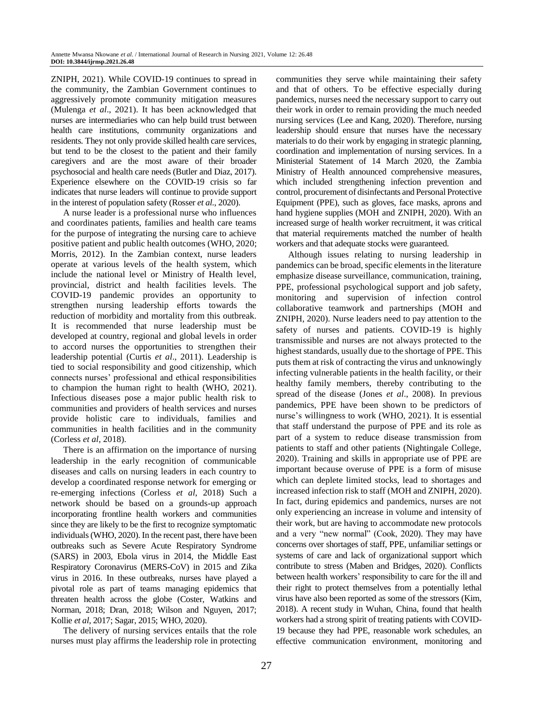ZNIPH, 2021). While COVID-19 continues to spread in the community, the Zambian Government continues to aggressively promote community mitigation measures (Mulenga *et al*., 2021). It has been acknowledged that nurses are intermediaries who can help build trust between health care institutions, community organizations and residents. They not only provide skilled health care services, but tend to be the closest to the patient and their family caregivers and are the most aware of their broader psychosocial and health care needs (Butler and Diaz, 2017). Experience elsewhere on the COVID-19 crisis so far indicates that nurse leaders will continue to provide support in the interest of population safety (Rosser *et al*., 2020).

A nurse leader is a professional nurse who influences and coordinates patients, families and health care teams for the purpose of integrating the nursing care to achieve positive patient and public health outcomes (WHO, 2020; Morris, 2012). In the Zambian context, nurse leaders operate at various levels of the health system, which include the national level or Ministry of Health level, provincial, district and health facilities levels. The COVID-19 pandemic provides an opportunity to strengthen nursing leadership efforts towards the reduction of morbidity and mortality from this outbreak. It is recommended that nurse leadership must be developed at country, regional and global levels in order to accord nurses the opportunities to strengthen their leadership potential (Curtis *et al*., 2011). Leadership is tied to social responsibility and good citizenship, which connects nurses' professional and ethical responsibilities to champion the human right to health (WHO, 2021). Infectious diseases pose a major public health risk to communities and providers of health services and nurses provide holistic care to individuals, families and communities in health facilities and in the community (Corless *et al*, 2018).

There is an affirmation on the importance of nursing leadership in the early recognition of communicable diseases and calls on nursing leaders in each country to develop a coordinated response network for emerging or re-emerging infections (Corless *et al*, 2018) Such a network should be based on a grounds-up approach incorporating frontline health workers and communities since they are likely to be the first to recognize symptomatic individuals (WHO, 2020). In the recent past, there have been outbreaks such as Severe Acute Respiratory Syndrome (SARS) in 2003, Ebola virus in 2014, the Middle East Respiratory Coronavirus (MERS-CoV) in 2015 and Zika virus in 2016. In these outbreaks, nurses have played a pivotal role as part of teams managing epidemics that threaten health across the globe (Coster, Watkins and Norman, 2018; Dran, 2018; Wilson and Nguyen, 2017; Kollie *et al*, 2017; Sagar, 2015; WHO, 2020).

The delivery of nursing services entails that the role nurses must play affirms the leadership role in protecting communities they serve while maintaining their safety and that of others. To be effective especially during pandemics, nurses need the necessary support to carry out their work in order to remain providing the much needed nursing services (Lee and Kang, 2020). Therefore, nursing leadership should ensure that nurses have the necessary materials to do their work by engaging in strategic planning, coordination and implementation of nursing services. In a Ministerial Statement of 14 March 2020, the Zambia Ministry of Health announced comprehensive measures, which included strengthening infection prevention and control, procurement of disinfectants and Personal Protective Equipment (PPE), such as gloves, face masks, aprons and hand hygiene supplies (MOH and ZNIPH, 2020). With an increased surge of health worker recruitment, it was critical that material requirements matched the number of health workers and that adequate stocks were guaranteed.

Although issues relating to nursing leadership in pandemics can be broad, specific elements in the literature emphasize disease surveillance, communication, training, PPE, professional psychological support and job safety, monitoring and supervision of infection control collaborative teamwork and partnerships (MOH and ZNIPH, 2020). Nurse leaders need to pay attention to the safety of nurses and patients. COVID-19 is highly transmissible and nurses are not always protected to the highest standards, usually due to the shortage of PPE. This puts them at risk of contracting the virus and unknowingly infecting vulnerable patients in the health facility, or their healthy family members, thereby contributing to the spread of the disease (Jones *et al*., 2008). In previous pandemics, PPE have been shown to be predictors of nurse's willingness to work (WHO, 2021). It is essential that staff understand the purpose of PPE and its role as part of a system to reduce disease transmission from patients to staff and other patients (Nightingale College, 2020). Training and skills in appropriate use of PPE are important because overuse of PPE is a form of misuse which can deplete limited stocks, lead to shortages and increased infection risk to staff (MOH and ZNIPH, 2020). In fact, during epidemics and pandemics, nurses are not only experiencing an increase in volume and intensity of their work, but are having to accommodate new protocols and a very "new normal" (Cook, 2020). They may have concerns over shortages of staff, PPE, unfamiliar settings or systems of care and lack of organizational support which contribute to stress (Maben and Bridges, 2020). Conflicts between health workers' responsibility to care for the ill and their right to protect themselves from a potentially lethal virus have also been reported as some of the stressors (Kim, 2018). A recent study in Wuhan, China, found that health workers had a strong spirit of treating patients with COVID-19 because they had PPE, reasonable work schedules, an effective communication environment, monitoring and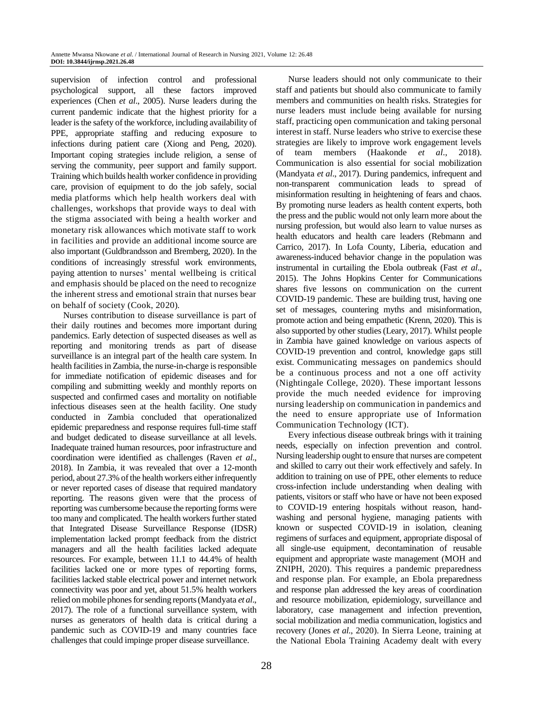supervision of infection control and professional psychological support, all these factors improved experiences (Chen *et al*., 2005). Nurse leaders during the current pandemic indicate that the highest priority for a leader is the safety of the workforce, including availability of PPE, appropriate staffing and reducing exposure to infections during patient care (Xiong and Peng, 2020). Important coping strategies include religion, a sense of serving the community, peer support and family support. Training which builds health worker confidence in providing care, provision of equipment to do the job safely, social media platforms which help health workers deal with challenges, workshops that provide ways to deal with the stigma associated with being a health worker and monetary risk allowances which motivate staff to work in facilities and provide an additional income source are also important (Guldbrandsson and Bremberg, 2020). In the conditions of increasingly stressful work environments, paying attention to nurses' mental wellbeing is critical and emphasis should be placed on the need to recognize the inherent stress and emotional strain that nurses bear on behalf of society (Cook, 2020).

Nurses contribution to disease surveillance is part of their daily routines and becomes more important during pandemics. Early detection of suspected diseases as well as reporting and monitoring trends as part of disease surveillance is an integral part of the health care system. In health facilities in Zambia, the nurse-in-charge is responsible for immediate notification of epidemic diseases and for compiling and submitting weekly and monthly reports on suspected and confirmed cases and mortality on notifiable infectious diseases seen at the health facility. One study conducted in Zambia concluded that operationalized epidemic preparedness and response requires full-time staff and budget dedicated to disease surveillance at all levels. Inadequate trained human resources, poor infrastructure and coordination were identified as challenges (Raven *et al*., 2018). In Zambia, it was revealed that over a 12-month period, about 27.3% of the health workers either infrequently or never reported cases of disease that required mandatory reporting. The reasons given were that the process of reporting was cumbersome because the reporting forms were too many and complicated. The health workers further stated that Integrated Disease Surveillance Response (IDSR) implementation lacked prompt feedback from the district managers and all the health facilities lacked adequate resources. For example, between 11.1 to 44.4% of health facilities lacked one or more types of reporting forms, facilities lacked stable electrical power and internet network connectivity was poor and yet, about 51.5% health workers relied on mobile phones for sending reports (Mandyata *et al*., 2017). The role of a functional surveillance system, with nurses as generators of health data is critical during a pandemic such as COVID-19 and many countries face challenges that could impinge proper disease surveillance.

staff and patients but should also communicate to family members and communities on health risks. Strategies for nurse leaders must include being available for nursing staff, practicing open communication and taking personal interest in staff. Nurse leaders who strive to exercise these strategies are likely to improve work engagement levels of team members (Haakonde *et al*., 2018). Communication is also essential for social mobilization (Mandyata *et al*., 2017). During pandemics, infrequent and non-transparent communication leads to spread of misinformation resulting in heightening of fears and chaos. By promoting nurse leaders as health content experts, both the press and the public would not only learn more about the nursing profession, but would also learn to value nurses as health educators and health care leaders (Rebmann and Carrico, 2017). In Lofa County, Liberia, education and awareness-induced behavior change in the population was instrumental in curtailing the Ebola outbreak (Fast *et al*., 2015). The Johns Hopkins Center for Communications shares five lessons on communication on the current COVID-19 pandemic. These are building trust, having one set of messages, countering myths and misinformation, promote action and being empathetic (Krenn, 2020). This is also supported by other studies (Leary, 2017). Whilst people in Zambia have gained knowledge on various aspects of COVID-19 prevention and control, knowledge gaps still exist. Communicating messages on pandemics should be a continuous process and not a one off activity (Nightingale College, 2020). These important lessons provide the much needed evidence for improving nursing leadership on communication in pandemics and the need to ensure appropriate use of Information Communication Technology (ICT).

Nurse leaders should not only communicate to their

Every infectious disease outbreak brings with it training needs, especially on infection prevention and control. Nursing leadership ought to ensure that nurses are competent and skilled to carry out their work effectively and safely. In addition to training on use of PPE, other elements to reduce cross-infection include understanding when dealing with patients, visitors or staff who have or have not been exposed to COVID-19 entering hospitals without reason, handwashing and personal hygiene, managing patients with known or suspected COVID-19 in isolation, cleaning regimens of surfaces and equipment, appropriate disposal of all single-use equipment, decontamination of reusable equipment and appropriate waste management (MOH and ZNIPH, 2020). This requires a pandemic preparedness and response plan. For example, an Ebola preparedness and response plan addressed the key areas of coordination and resource mobilization, epidemiology, surveillance and laboratory, case management and infection prevention, social mobilization and media communication, logistics and recovery (Jones *et al*., 2020). In Sierra Leone, training at the National Ebola Training Academy dealt with every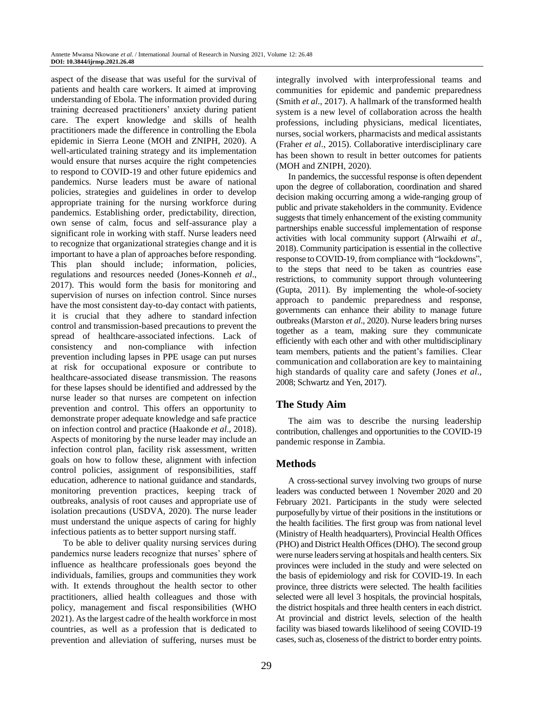aspect of the disease that was useful for the survival of patients and health care workers. It aimed at improving understanding of Ebola. The information provided during training decreased practitioners' anxiety during patient care. The expert knowledge and skills of health practitioners made the difference in controlling the Ebola epidemic in Sierra Leone (MOH and ZNIPH, 2020). A well-articulated training strategy and its implementation would ensure that nurses acquire the right competencies to respond to COVID-19 and other future epidemics and pandemics. Nurse leaders must be aware of national policies, strategies and guidelines in order to develop appropriate training for the nursing workforce during pandemics. Establishing order, predictability, direction, own sense of calm, focus and self-assurance play a significant role in working with staff. Nurse leaders need to recognize that organizational strategies change and it is important to have a plan of approaches before responding. This plan should include; information, policies, regulations and resources needed (Jones-Konneh *et al*., 2017). This would form the basis for monitoring and supervision of nurses on infection control. Since nurses have the most consistent day-to-day contact with patients, it is crucial that they adhere to standard infection control and transmission-based precautions to prevent the spread of healthcare-associated infections. Lack of consistency and non-compliance with infection prevention including lapses in PPE usage can put nurses at risk for occupational exposure or contribute to healthcare-associated disease transmission. The reasons for these lapses should be identified and addressed by the nurse leader so that nurses are competent on infection prevention and control. This offers an opportunity to demonstrate proper adequate knowledge and safe practice on infection control and practice (Haakonde *et al*., 2018). Aspects of monitoring by the nurse leader may include an infection control plan, facility risk assessment, written goals on how to follow these, alignment with infection control policies, assignment of responsibilities, staff education, adherence to national guidance and standards, monitoring prevention practices, keeping track of outbreaks, analysis of root causes and appropriate use of isolation precautions (USDVA, 2020). The nurse leader must understand the unique aspects of caring for highly infectious patients as to better support nursing staff.

To be able to deliver quality nursing services during pandemics nurse leaders recognize that nurses' sphere of influence as healthcare professionals goes beyond the individuals, families, groups and communities they work with. It extends throughout the health sector to other practitioners, allied health colleagues and those with policy, management and fiscal responsibilities (WHO 2021). As the largest cadre of the health workforce in most countries, as well as a profession that is dedicated to prevention and alleviation of suffering, nurses must be integrally involved with interprofessional teams and communities for epidemic and pandemic preparedness (Smith *et al*., 2017). A hallmark of the transformed health system is a new level of collaboration across the health professions, including physicians, medical licentiates, nurses, social workers, pharmacists and medical assistants (Fraher *et al*., 2015). Collaborative interdisciplinary care has been shown to result in better outcomes for patients (MOH and ZNIPH, 2020).

In pandemics, the successful response is often dependent upon the degree of collaboration, coordination and shared decision making occurring among a wide-ranging group of public and private stakeholders in the community. Evidence suggests that timely enhancement of the existing community partnerships enable successful implementation of response activities with local community support (Alrwaihi *et al*., 2018). Community participation is essential in the collective response to COVID-19, from compliance with "lockdowns", to the steps that need to be taken as countries ease restrictions, to community support through volunteering (Gupta, 2011). By implementing the whole-of-society approach to pandemic preparedness and response, governments can enhance their ability to manage future outbreaks (Marston *et al*., 2020). Nurse leaders bring nurses together as a team, making sure they communicate efficiently with each other and with other multidisciplinary team members, patients and the patient's families. Clear communication and collaboration are key to maintaining high standards of quality care and safety (Jones *et al*., 2008; Schwartz and Yen, 2017).

# **The Study Aim**

The aim was to describe the nursing leadership contribution, challenges and opportunities to the COVID-19 pandemic response in Zambia.

## **Methods**

A cross-sectional survey involving two groups of nurse leaders was conducted between 1 November 2020 and 20 February 2021. Participants in the study were selected purposefully by virtue of their positions in the institutions or the health facilities. The first group was from national level (Ministry of Health headquarters), Provincial Health Offices (PHO) and District Health Offices (DHO). The second group were nurse leaders serving at hospitals and health centers. Six provinces were included in the study and were selected on the basis of epidemiology and risk for COVID-19. In each province, three districts were selected. The health facilities selected were all level 3 hospitals, the provincial hospitals, the district hospitals and three health centers in each district. At provincial and district levels, selection of the health facility was biased towards likelihood of seeing COVID-19 cases, such as, closeness of the district to border entry points.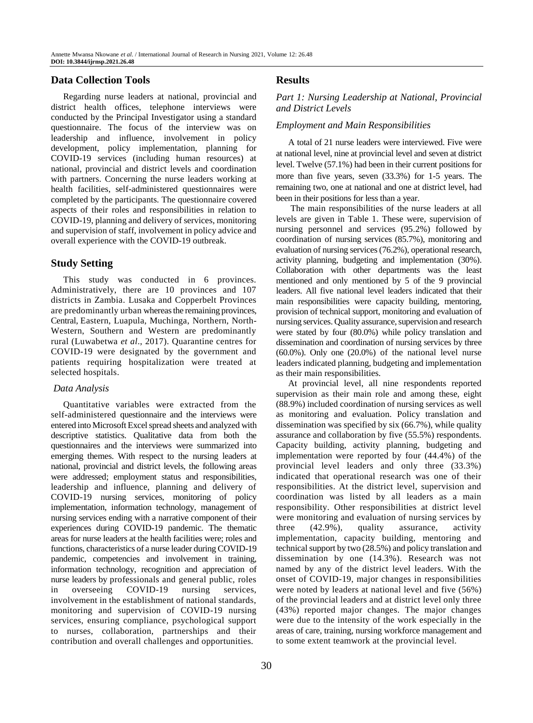## **Data Collection Tools**

Regarding nurse leaders at national, provincial and district health offices, telephone interviews were conducted by the Principal Investigator using a standard questionnaire. The focus of the interview was on leadership and influence, involvement in policy development, policy implementation, planning for COVID-19 services (including human resources) at national, provincial and district levels and coordination with partners. Concerning the nurse leaders working at health facilities, self-administered questionnaires were completed by the participants. The questionnaire covered aspects of their roles and responsibilities in relation to COVID-19, planning and delivery of services, monitoring and supervision of staff, involvement in policy advice and overall experience with the COVID-19 outbreak.

## **Study Setting**

This study was conducted in 6 provinces. Administratively, there are 10 provinces and 107 districts in Zambia. Lusaka and Copperbelt Provinces are predominantly urban whereas the remaining provinces, Central, Eastern, Luapula, Muchinga, Northern, North-Western, Southern and Western are predominantly rural (Luwabetwa *et al*., 2017). Quarantine centres for COVID-19 were designated by the government and patients requiring hospitalization were treated at selected hospitals.

### *Data Analysis*

Quantitative variables were extracted from the self-administered questionnaire and the interviews were entered into Microsoft Excel spread sheets and analyzed with descriptive statistics. Qualitative data from both the questionnaires and the interviews were summarized into emerging themes. With respect to the nursing leaders at national, provincial and district levels, the following areas were addressed; employment status and responsibilities, leadership and influence, planning and delivery of COVID-19 nursing services, monitoring of policy implementation, information technology, management of nursing services ending with a narrative component of their experiences during COVID-19 pandemic. The thematic areas for nurse leaders at the health facilities were; roles and functions, characteristics of a nurse leader during COVID-19 pandemic, competencies and involvement in training, information technology, recognition and appreciation of nurse leaders by professionals and general public, roles in overseeing COVID-19 nursing services, involvement in the establishment of national standards, monitoring and supervision of COVID-19 nursing services, ensuring compliance, psychological support to nurses, collaboration, partnerships and their contribution and overall challenges and opportunities.

## **Results**

## *Part 1: Nursing Leadership at National*, *Provincial and District Levels*

### *Employment and Main Responsibilities*

A total of 21 nurse leaders were interviewed. Five were at national level, nine at provincial level and seven at district level. Twelve (57.1%) had been in their current positions for more than five years, seven (33.3%) for 1-5 years. The remaining two, one at national and one at district level, had been in their positions for less than a year.

The main responsibilities of the nurse leaders at all levels are given in Table 1. These were, supervision of nursing personnel and services (95.2%) followed by coordination of nursing services (85.7%), monitoring and evaluation of nursing services (76.2%), operational research, activity planning, budgeting and implementation (30%). Collaboration with other departments was the least mentioned and only mentioned by 5 of the 9 provincial leaders. All five national level leaders indicated that their main responsibilities were capacity building, mentoring, provision of technical support, monitoring and evaluation of nursing services. Quality assurance, supervision and research were stated by four (80.0%) while policy translation and dissemination and coordination of nursing services by three (60.0%). Only one (20.0%) of the national level nurse leaders indicated planning, budgeting and implementation as their main responsibilities.

At provincial level, all nine respondents reported supervision as their main role and among these, eight (88.9%) included coordination of nursing services as well as monitoring and evaluation. Policy translation and dissemination was specified by six (66.7%), while quality assurance and collaboration by five (55.5%) respondents. Capacity building, activity planning, budgeting and implementation were reported by four (44.4%) of the provincial level leaders and only three (33.3%) indicated that operational research was one of their responsibilities. At the district level, supervision and coordination was listed by all leaders as a main responsibility. Other responsibilities at district level were monitoring and evaluation of nursing services by three (42.9%), quality assurance, activity implementation, capacity building, mentoring and technical support by two (28.5%) and policy translation and dissemination by one (14.3%). Research was not named by any of the district level leaders. With the onset of COVID-19, major changes in responsibilities were noted by leaders at national level and five (56%) of the provincial leaders and at district level only three (43%) reported major changes. The major changes were due to the intensity of the work especially in the areas of care, training, nursing workforce management and to some extent teamwork at the provincial level.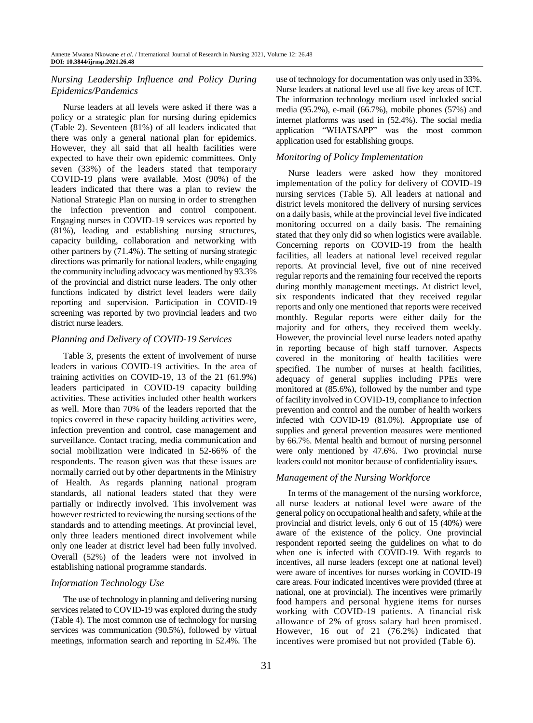# *Nursing Leadership Influence and Policy During Epidemics/Pandemics*

Nurse leaders at all levels were asked if there was a policy or a strategic plan for nursing during epidemics (Table 2). Seventeen (81%) of all leaders indicated that there was only a general national plan for epidemics. However, they all said that all health facilities were expected to have their own epidemic committees. Only seven (33%) of the leaders stated that temporary COVID-19 plans were available. Most (90%) of the leaders indicated that there was a plan to review the National Strategic Plan on nursing in order to strengthen the infection prevention and control component. Engaging nurses in COVID-19 services was reported by (81%), leading and establishing nursing structures, capacity building, collaboration and networking with other partners by (71.4%). The setting of nursing strategic directions was primarily for national leaders, while engaging the community including advocacy was mentioned by 93.3% of the provincial and district nurse leaders. The only other functions indicated by district level leaders were daily reporting and supervision. Participation in COVID-19 screening was reported by two provincial leaders and two district nurse leaders.

### *Planning and Delivery of COVID-19 Services*

Table 3, presents the extent of involvement of nurse leaders in various COVID-19 activities. In the area of training activities on COVID-19, 13 of the 21 (61.9%) leaders participated in COVID-19 capacity building activities. These activities included other health workers as well. More than 70% of the leaders reported that the topics covered in these capacity building activities were, infection prevention and control, case management and surveillance. Contact tracing, media communication and social mobilization were indicated in 52-66% of the respondents. The reason given was that these issues are normally carried out by other departments in the Ministry of Health. As regards planning national program standards, all national leaders stated that they were partially or indirectly involved. This involvement was however restricted to reviewing the nursing sections of the standards and to attending meetings. At provincial level, only three leaders mentioned direct involvement while only one leader at district level had been fully involved. Overall (52%) of the leaders were not involved in establishing national programme standards.

## *Information Technology Use*

The use of technology in planning and delivering nursing services related to COVID-19 was explored during the study (Table 4). The most common use of technology for nursing services was communication (90.5%), followed by virtual meetings, information search and reporting in 52.4%. The use of technology for documentation was only used in 33%. Nurse leaders at national level use all five key areas of ICT. The information technology medium used included social media (95.2%), e-mail (66.7%), mobile phones (57%) and internet platforms was used in (52.4%). The social media application "WHATSAPP" was the most common application used for establishing groups.

# *Monitoring of Policy Implementation*

Nurse leaders were asked how they monitored implementation of the policy for delivery of COVID-19 nursing services (Table 5). All leaders at national and district levels monitored the delivery of nursing services on a daily basis, while at the provincial level five indicated monitoring occurred on a daily basis. The remaining stated that they only did so when logistics were available. Concerning reports on COVID-19 from the health facilities, all leaders at national level received regular reports. At provincial level, five out of nine received regular reports and the remaining four received the reports during monthly management meetings. At district level, six respondents indicated that they received regular reports and only one mentioned that reports were received monthly. Regular reports were either daily for the majority and for others, they received them weekly. However, the provincial level nurse leaders noted apathy in reporting because of high staff turnover. Aspects covered in the monitoring of health facilities were specified. The number of nurses at health facilities, adequacy of general supplies including PPEs were monitored at (85.6%), followed by the number and type of facility involved in COVID-19, compliance to infection prevention and control and the number of health workers infected with COVID-19 (81.0%). Appropriate use of supplies and general prevention measures were mentioned by 66.7%. Mental health and burnout of nursing personnel were only mentioned by 47.6%. Two provincial nurse leaders could not monitor because of confidentiality issues.

## *Management of the Nursing Workforce*

In terms of the management of the nursing workforce, all nurse leaders at national level were aware of the general policy on occupational health and safety, while at the provincial and district levels, only 6 out of 15 (40%) were aware of the existence of the policy. One provincial respondent reported seeing the guidelines on what to do when one is infected with COVID-19. With regards to incentives, all nurse leaders (except one at national level) were aware of incentives for nurses working in COVID-19 care areas. Four indicated incentives were provided (three at national, one at provincial). The incentives were primarily food hampers and personal hygiene items for nurses working with COVID-19 patients. A financial risk allowance of 2% of gross salary had been promised. However, 16 out of 21 (76.2%) indicated that incentives were promised but not provided (Table 6).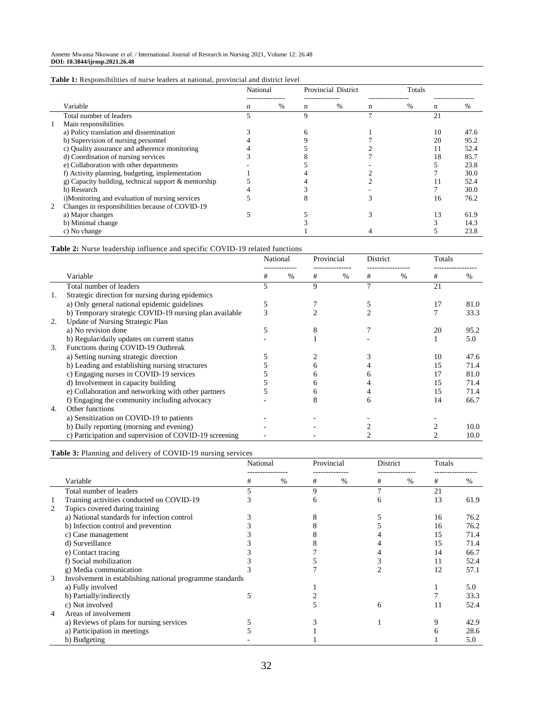|   |                                                         | National |                                 |   | <b>Provincial District</b> |                   | Totals |    |      |  |
|---|---------------------------------------------------------|----------|---------------------------------|---|----------------------------|-------------------|--------|----|------|--|
|   | Variable                                                | n        | --------------<br>$\frac{0}{0}$ | n | $\%$                       | ------------<br>n | $\%$   | n  | $\%$ |  |
|   | Total number of leaders                                 |          |                                 | 9 |                            |                   |        | 21 |      |  |
|   | Main responsibilities                                   |          |                                 |   |                            |                   |        |    |      |  |
|   | a) Policy translation and dissemination                 |          |                                 |   |                            |                   |        | 10 | 47.6 |  |
|   | b) Supervision of nursing personnel                     |          |                                 |   |                            |                   |        | 20 | 95.2 |  |
|   | c) Quality assurance and adherence monitoring           |          |                                 |   |                            |                   |        |    | 52.4 |  |
|   | d) Coordination of nursing services                     |          |                                 |   |                            |                   |        | 18 | 85.7 |  |
|   | e) Collaboration with other departments                 |          |                                 |   |                            |                   |        |    | 23.8 |  |
|   | f) Activity planning, budgeting, implementation         |          |                                 |   |                            |                   |        |    | 30.0 |  |
|   | g) Capacity building, technical support $\&$ mentorship |          |                                 |   |                            |                   |        |    | 52.4 |  |
|   | h) Research                                             |          |                                 |   |                            |                   |        |    | 30.0 |  |
|   | i)Monitoring and evaluation of nursing services         |          |                                 |   |                            |                   |        | 16 | 76.2 |  |
| 2 | Changes in responsibilities because of COVID-19         |          |                                 |   |                            |                   |        |    |      |  |
|   | a) Major changes                                        |          |                                 |   |                            |                   |        | 13 | 61.9 |  |
|   | b) Minimal change                                       |          |                                 |   |                            |                   |        |    | 14.3 |  |
|   | c) No change                                            |          |                                 |   |                            |                   |        |    | 23.8 |  |

**Table 2:** Nurse leadership influence and specific COVID-19 related functions

|     |                                                        | National |               | Provincial |      | <b>District</b> |               | Totals |      |
|-----|--------------------------------------------------------|----------|---------------|------------|------|-----------------|---------------|--------|------|
|     | Variable                                               | #        | $\frac{0}{0}$ | #          | $\%$ | #               | $\frac{0}{0}$ | #      | %    |
|     | Total number of leaders                                |          |               | 9          |      |                 |               | 21     |      |
| -1. | Strategic direction for nursing during epidemics       |          |               |            |      |                 |               |        |      |
|     | a) Only general national epidemic guidelines           | 5        |               |            |      |                 |               | 17     | 81.0 |
|     | b) Temporary strategic COVID-19 nursing plan available |          |               |            |      |                 |               |        | 33.3 |
| 2.  | Update of Nursing Strategic Plan                       |          |               |            |      |                 |               |        |      |
|     | a) No revision done                                    |          |               |            |      |                 |               | 20     | 95.2 |
|     | b) Regular/daily updates on current status             |          |               |            |      |                 |               |        | 5.0  |
| 3.  | Functions during COVID-19 Outbreak                     |          |               |            |      |                 |               |        |      |
|     | a) Setting nursing strategic direction                 |          |               |            |      |                 |               | 10     | 47.6 |
|     | b) Leading and establishing nursing structures         |          |               | n          |      |                 |               | 15     | 71.4 |
|     | c) Engaging nurses in COVID-19 services                |          |               |            |      |                 |               | 17     | 81.0 |
|     | d) Involvement in capacity building                    |          |               |            |      |                 |               | 15     | 71.4 |
|     | e) Collaboration and networking with other partners    |          |               | h.         |      |                 |               | 15     | 71.4 |
|     | f) Engaging the community including advocacy           |          |               |            |      |                 |               | 14     | 66.7 |
| 4.  | Other functions                                        |          |               |            |      |                 |               |        |      |
|     | a) Sensitization on COVID-19 to patients               |          |               |            |      |                 |               |        |      |
|     | b) Daily reporting (morning and evening)               |          |               |            |      |                 |               |        | 10.0 |
|     | c) Participation and supervision of COVID-19 screening |          |               |            |      |                 |               |        | 10.0 |

## **Table 3:** Planning and delivery of COVID-19 nursing services

|   |                                                          | National |      | Provincial |      | District |      | Totals |      |
|---|----------------------------------------------------------|----------|------|------------|------|----------|------|--------|------|
|   | Variable                                                 | #        | $\%$ | #          | $\%$ | #        | $\%$ | #      | %    |
|   | Total number of leaders                                  | 5        |      | 9          |      |          |      | 21     |      |
| 1 | Training activities conducted on COVID-19                | 5        |      |            |      |          |      | 13     | 61.9 |
| 2 | Topics covered during training                           |          |      |            |      |          |      |        |      |
|   | a) National standards for infection control              |          |      |            |      |          |      | 16     | 76.2 |
|   | b) Infection control and prevention                      |          |      |            |      |          |      | 16     | 76.2 |
|   | c) Case management                                       |          |      |            |      |          |      | 15     | 71.4 |
|   | d) Surveillance                                          |          |      |            |      |          |      | 15     | 71.4 |
|   | e) Contact tracing                                       |          |      |            |      |          |      | 14     | 66.7 |
|   | f) Social mobilization                                   |          |      |            |      |          |      | 11     | 52.4 |
|   | g) Media communication                                   |          |      |            |      |          |      | 12     | 57.1 |
| 3 | Involvement in establishing national programme standards |          |      |            |      |          |      |        |      |
|   | a) Fully involved                                        |          |      |            |      |          |      |        | 5.0  |
|   | b) Partially/indirectly                                  | 5        |      |            |      |          |      |        | 33.3 |
|   | c) Not involved                                          |          |      |            |      | 6        |      | 11     | 52.4 |
| 4 | Areas of involvement                                     |          |      |            |      |          |      |        |      |
|   | a) Reviews of plans for nursing services                 |          |      |            |      |          |      |        | 42.9 |
|   | a) Participation in meetings                             |          |      |            |      |          |      |        | 28.6 |
|   | b) Budgeting                                             |          |      |            |      |          |      |        | 5.0  |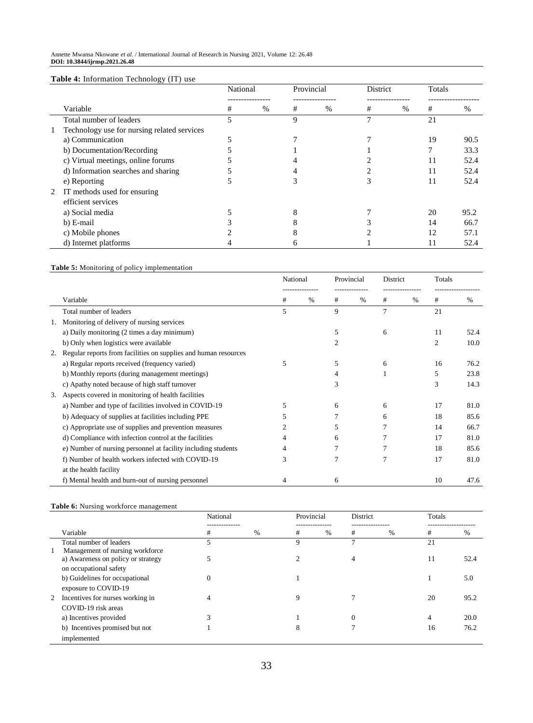#### Annette Mwansa Nkowane *et al*. / International Journal of Research in Nursing 2021, Volume 12: 26.48 **DOI: 10.3844/ijrnsp.2021.26.48**

#### **Table 4:** Information Technology (IT) use

|                                             | National |      | Provincial   |      | District |      | Totals |      |
|---------------------------------------------|----------|------|--------------|------|----------|------|--------|------|
| Variable                                    | #        | $\%$ | #            | $\%$ | #        | $\%$ | #      | %    |
| Total number of leaders                     |          |      | 9            |      |          |      | 21     |      |
| Technology use for nursing related services |          |      |              |      |          |      |        |      |
| a) Communication                            |          |      |              |      |          |      | 19     | 90.5 |
| b) Documentation/Recording                  |          |      |              |      |          |      |        | 33.3 |
| c) Virtual meetings, online forums          |          |      |              |      |          |      | 11     | 52.4 |
| d) Information searches and sharing         |          |      |              |      |          |      | 11     | 52.4 |
| e) Reporting                                |          |      |              |      |          |      | 11     | 52.4 |
| 2 IT methods used for ensuring              |          |      |              |      |          |      |        |      |
| efficient services                          |          |      |              |      |          |      |        |      |
| a) Social media                             |          |      |              |      |          |      | 20     | 95.2 |
| b) E-mail                                   |          |      |              |      |          |      | 14     | 66.7 |
| c) Mobile phones                            |          |      |              |      |          |      | 12     | 57.1 |
| d) Internet platforms                       |          |      | <sub>6</sub> |      |          |      | 11     | 52.4 |

## **Table 5:** Monitoring of policy implementation

|    |                                                                 | National |      | Provincial |      | District |      | Totals |      |
|----|-----------------------------------------------------------------|----------|------|------------|------|----------|------|--------|------|
|    | Variable                                                        | #        | $\%$ | #          | $\%$ | #        | $\%$ | #      | %    |
|    | Total number of leaders                                         | 5        |      | 9          |      | 7        |      | 21     |      |
|    | Monitoring of delivery of nursing services                      |          |      |            |      |          |      |        |      |
|    | a) Daily monitoring (2 times a day minimum)                     |          |      | 5          |      | 6        |      | 11     | 52.4 |
|    | b) Only when logistics were available                           |          |      | 2          |      |          |      | 2      | 10.0 |
| 2. | Regular reports from facilities on supplies and human resources |          |      |            |      |          |      |        |      |
|    | a) Regular reports received (frequency varied)                  | 5        |      | 5          |      | 6        |      | 16     | 76.2 |
|    | b) Monthly reports (during management meetings)                 |          |      | 4          |      |          |      | 5      | 23.8 |
|    | c) Apathy noted because of high staff turnover                  |          |      | 3          |      |          |      | 3      | 14.3 |
| 3. | Aspects covered in monitoring of health facilities              |          |      |            |      |          |      |        |      |
|    | a) Number and type of facilities involved in COVID-19           | 5        |      | 6          |      | 6        |      | 17     | 81.0 |
|    | b) Adequacy of supplies at facilities including PPE             | 5        |      |            |      | 6        |      | 18     | 85.6 |
|    | c) Appropriate use of supplies and prevention measures          | 2        |      | 5          |      |          |      | 14     | 66.7 |
|    | d) Compliance with infection control at the facilities          | 4        |      | 6          |      |          |      | 17     | 81.0 |
|    | e) Number of nursing personnel at facility including students   | 4        |      |            |      |          |      | 18     | 85.6 |
|    | f) Number of health workers infected with COVID-19              | 3        |      |            |      |          |      | 17     | 81.0 |
|    | at the health facility                                          |          |      |            |      |          |      |        |      |
|    | f) Mental health and burn-out of nursing personnel              | 4        |      | 6          |      |          |      | 10     | 47.6 |

#### **Table 6:** Nursing workforce management

|                                    | National            |      | Provincial |      | District             |      | Totals                   |      |
|------------------------------------|---------------------|------|------------|------|----------------------|------|--------------------------|------|
| Variable                           | --------------<br># | $\%$ | <br>#      | $\%$ | ---------------<br># | $\%$ | -------------------<br># | %    |
| Total number of leaders            |                     |      | 9          |      | −                    |      | 21                       |      |
| Management of nursing workforce    |                     |      |            |      |                      |      |                          |      |
| a) Awareness on policy or strategy |                     |      |            |      | 4                    |      | 11                       | 52.4 |
| on occupational safety             |                     |      |            |      |                      |      |                          |      |
| b) Guidelines for occupational     | 0                   |      |            |      |                      |      |                          | 5.0  |
| exposure to COVID-19               |                     |      |            |      |                      |      |                          |      |
| 2 Incentives for nurses working in |                     |      | Q          |      |                      |      | 20                       | 95.2 |
| COVID-19 risk areas                |                     |      |            |      |                      |      |                          |      |
| a) Incentives provided             | 3                   |      |            |      | $\Omega$             |      | 4                        | 20.0 |
| b) Incentives promised but not     |                     |      | 8          |      |                      |      | 16                       | 76.2 |
| implemented                        |                     |      |            |      |                      |      |                          |      |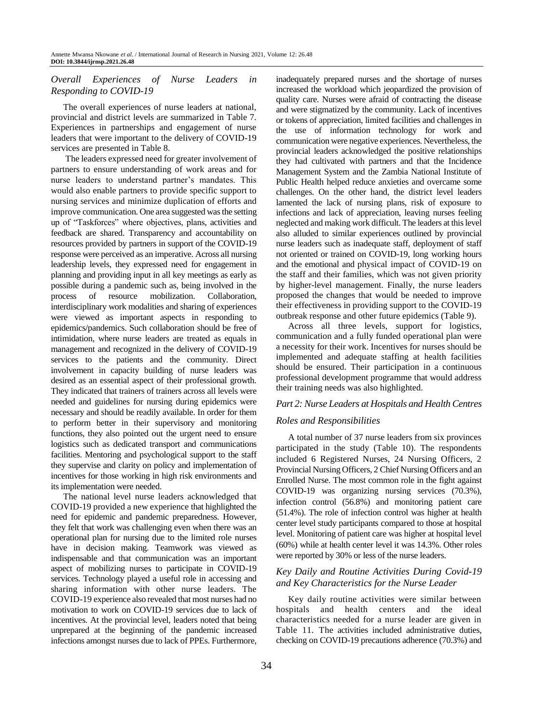# *Overall Experiences of Nurse Leaders in Responding to COVID-19*

The overall experiences of nurse leaders at national, provincial and district levels are summarized in Table 7. Experiences in partnerships and engagement of nurse leaders that were important to the delivery of COVID-19 services are presented in Table 8.

The leaders expressed need for greater involvement of partners to ensure understanding of work areas and for nurse leaders to understand partner's mandates. This would also enable partners to provide specific support to nursing services and minimize duplication of efforts and improve communication. One area suggested was the setting up of "Taskforces" where objectives, plans, activities and feedback are shared. Transparency and accountability on resources provided by partners in support of the COVID-19 response were perceived as an imperative. Across all nursing leadership levels, they expressed need for engagement in planning and providing input in all key meetings as early as possible during a pandemic such as, being involved in the process of resource mobilization. Collaboration, interdisciplinary work modalities and sharing of experiences were viewed as important aspects in responding to epidemics/pandemics. Such collaboration should be free of intimidation, where nurse leaders are treated as equals in management and recognized in the delivery of COVID-19 services to the patients and the community. Direct involvement in capacity building of nurse leaders was desired as an essential aspect of their professional growth. They indicated that trainers of trainers across all levels were needed and guidelines for nursing during epidemics were necessary and should be readily available. In order for them to perform better in their supervisory and monitoring functions, they also pointed out the urgent need to ensure logistics such as dedicated transport and communications facilities. Mentoring and psychological support to the staff they supervise and clarity on policy and implementation of incentives for those working in high risk environments and its implementation were needed.

The national level nurse leaders acknowledged that COVID-19 provided a new experience that highlighted the need for epidemic and pandemic preparedness. However, they felt that work was challenging even when there was an operational plan for nursing due to the limited role nurses have in decision making. Teamwork was viewed as indispensable and that communication was an important aspect of mobilizing nurses to participate in COVID-19 services. Technology played a useful role in accessing and sharing information with other nurse leaders. The COVID-19 experience also revealed that most nurses had no motivation to work on COVID-19 services due to lack of incentives. At the provincial level, leaders noted that being unprepared at the beginning of the pandemic increased infections amongst nurses due to lack of PPEs. Furthermore,

inadequately prepared nurses and the shortage of nurses increased the workload which jeopardized the provision of quality care. Nurses were afraid of contracting the disease and were stigmatized by the community. Lack of incentives or tokens of appreciation, limited facilities and challenges in the use of information technology for work and communication were negative experiences. Nevertheless, the provincial leaders acknowledged the positive relationships they had cultivated with partners and that the Incidence Management System and the Zambia National Institute of Public Health helped reduce anxieties and overcame some challenges. On the other hand, the district level leaders lamented the lack of nursing plans, risk of exposure to infections and lack of appreciation, leaving nurses feeling neglected and making work difficult. The leaders at this level also alluded to similar experiences outlined by provincial nurse leaders such as inadequate staff, deployment of staff not oriented or trained on COVID-19, long working hours and the emotional and physical impact of COVID-19 on the staff and their families, which was not given priority by higher-level management. Finally, the nurse leaders proposed the changes that would be needed to improve their effectiveness in providing support to the COVID-19 outbreak response and other future epidemics (Table 9).

Across all three levels, support for logistics, communication and a fully funded operational plan were a necessity for their work. Incentives for nurses should be implemented and adequate staffing at health facilities should be ensured. Their participation in a continuous professional development programme that would address their training needs was also highlighted.

### *Part 2: Nurse Leaders at Hospitals and Health Centres*

### *Roles and Responsibilities*

A total number of 37 nurse leaders from six provinces participated in the study (Table 10). The respondents included 6 Registered Nurses, 24 Nursing Officers, 2 Provincial Nursing Officers, 2 Chief Nursing Officers and an Enrolled Nurse. The most common role in the fight against COVID-19 was organizing nursing services (70.3%), infection control (56.8%) and monitoring patient care (51.4%). The role of infection control was higher at health center level study participants compared to those at hospital level. Monitoring of patient care was higher at hospital level (60%) while at health center level it was 14.3%. Other roles were reported by 30% or less of the nurse leaders.

## *Key Daily and Routine Activities During Covid-19 and Key Characteristics for the Nurse Leader*

Key daily routine activities were similar between hospitals and health centers and the ideal characteristics needed for a nurse leader are given in Table 11. The activities included administrative duties, checking on COVID-19 precautions adherence (70.3%) and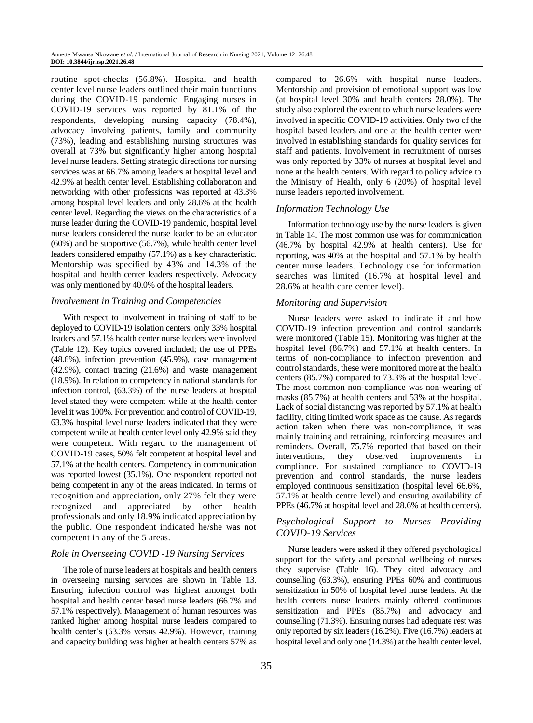routine spot-checks (56.8%). Hospital and health center level nurse leaders outlined their main functions during the COVID-19 pandemic. Engaging nurses in COVID-19 services was reported by 81.1% of the respondents, developing nursing capacity (78.4%), advocacy involving patients, family and community (73%), leading and establishing nursing structures was overall at 73% but significantly higher among hospital level nurse leaders. Setting strategic directions for nursing services was at 66.7% among leaders at hospital level and 42.9% at health center level. Establishing collaboration and networking with other professions was reported at 43.3% among hospital level leaders and only 28.6% at the health center level. Regarding the views on the characteristics of a nurse leader during the COVID-19 pandemic, hospital level nurse leaders considered the nurse leader to be an educator (60%) and be supportive (56.7%), while health center level leaders considered empathy (57.1%) as a key characteristic. Mentorship was specified by 43% and 14.3% of the hospital and health center leaders respectively. Advocacy was only mentioned by 40.0% of the hospital leaders.

### *Involvement in Training and Competencies*

With respect to involvement in training of staff to be deployed to COVID-19 isolation centers, only 33% hospital leaders and 57.1% health center nurse leaders were involved (Table 12). Key topics covered included; the use of PPEs (48.6%), infection prevention (45.9%), case management (42.9%), contact tracing (21.6%) and waste management (18.9%). In relation to competency in national standards for infection control, (63.3%) of the nurse leaders at hospital level stated they were competent while at the health center level it was 100%. For prevention and control of COVID-19, 63.3% hospital level nurse leaders indicated that they were competent while at health center level only 42.9% said they were competent. With regard to the management of COVID-19 cases, 50% felt competent at hospital level and 57.1% at the health centers. Competency in communication was reported lowest (35.1%). One respondent reported not being competent in any of the areas indicated. In terms of recognition and appreciation, only 27% felt they were recognized and appreciated by other health professionals and only 18.9% indicated appreciation by the public. One respondent indicated he/she was not competent in any of the 5 areas.

### *Role in Overseeing COVID -19 Nursing Services*

The role of nurse leaders at hospitals and health centers in overseeing nursing services are shown in Table 13. Ensuring infection control was highest amongst both hospital and health center based nurse leaders (66.7% and 57.1% respectively). Management of human resources was ranked higher among hospital nurse leaders compared to health center's (63.3% versus 42.9%). However, training and capacity building was higher at health centers 57% as

compared to 26.6% with hospital nurse leaders. Mentorship and provision of emotional support was low (at hospital level 30% and health centers 28.0%). The study also explored the extent to which nurse leaders were involved in specific COVID-19 activities. Only two of the hospital based leaders and one at the health center were involved in establishing standards for quality services for staff and patients. Involvement in recruitment of nurses was only reported by 33% of nurses at hospital level and none at the health centers. With regard to policy advice to the Ministry of Health, only 6 (20%) of hospital level nurse leaders reported involvement.

#### *Information Technology Use*

Information technology use by the nurse leaders is given in Table 14. The most common use was for communication (46.7% by hospital 42.9% at health centers). Use for reporting, was 40% at the hospital and 57.1% by health center nurse leaders. Technology use for information searches was limited (16.7% at hospital level and 28.6% at health care center level).

#### *Monitoring and Supervision*

Nurse leaders were asked to indicate if and how COVID-19 infection prevention and control standards were monitored (Table 15). Monitoring was higher at the hospital level (86.7%) and 57.1% at health centers. In terms of non-compliance to infection prevention and control standards, these were monitored more at the health centers (85.7%) compared to 73.3% at the hospital level. The most common non-compliance was non-wearing of masks (85.7%) at health centers and 53% at the hospital. Lack of social distancing was reported by 57.1% at health facility, citing limited work space as the cause. As regards action taken when there was non-compliance, it was mainly training and retraining, reinforcing measures and reminders. Overall, 75.7% reported that based on their interventions, they observed improvements in compliance. For sustained compliance to COVID-19 prevention and control standards, the nurse leaders employed continuous sensitization (hospital level 66.6%, 57.1% at health centre level) and ensuring availability of PPEs (46.7% at hospital level and 28.6% at health centers).

## *Psychological Support to Nurses Providing COVID-19 Services*

Nurse leaders were asked if they offered psychological support for the safety and personal wellbeing of nurses they supervise (Table 16). They cited advocacy and counselling (63.3%), ensuring PPEs 60% and continuous sensitization in 50% of hospital level nurse leaders. At the health centers nurse leaders mainly offered continuous sensitization and PPEs (85.7%) and advocacy and counselling (71.3%). Ensuring nurses had adequate rest was only reported by six leaders (16.2%). Five (16.7%) leaders at hospital level and only one (14.3%) at the health center level.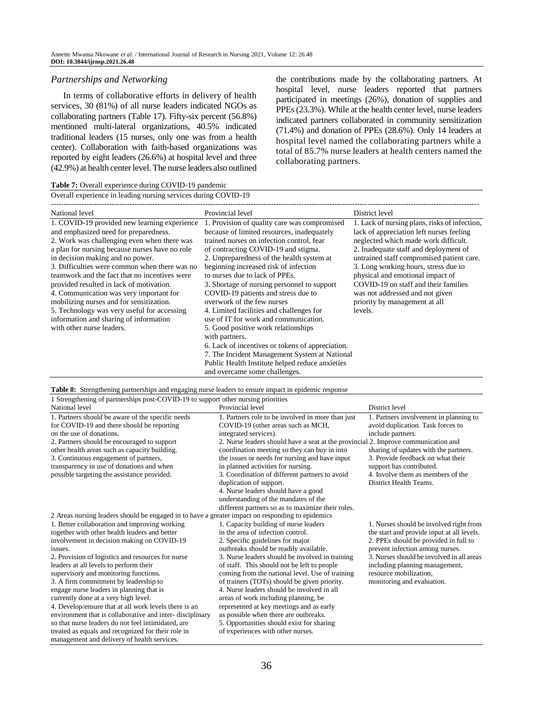#### *Partnerships and Networking*

In terms of collaborative efforts in delivery of health services, 30 (81%) of all nurse leaders indicated NGOs as collaborating partners (Table 17). Fifty-six percent (56.8%) mentioned multi-lateral organizations, 40.5% indicated traditional leaders (15 nurses, only one was from a health center). Collaboration with faith-based organizations was reported by eight leaders (26.6%) at hospital level and three (42.9%) at health center level. The nurse leaders also outlined the contributions made by the collaborating partners. At hospital level, nurse leaders reported that partners participated in meetings (26%), donation of supplies and PPEs (23.3%). While at the health center level, nurse leaders indicated partners collaborated in community sensitization (71.4%) and donation of PPEs (28.6%). Only 14 leaders at hospital level named the collaborating partners while a total of 85.7% nurse leaders at health centers named the collaborating partners.

**Table 7:** Overall experience during COVID-19 pandemic

Overall experience in leading nursing services during COVID-19

| National level                                 | Provincial level                                 | District level                                |
|------------------------------------------------|--------------------------------------------------|-----------------------------------------------|
| 1. COVID-19 provided new learning experience   | 1. Provision of quality care was compromised     | 1. Lack of nursing plans, risks of infection, |
| and emphasized need for preparedness.          | because of limited resources, inadequately       | lack of appreciation left nurses feeling      |
| 2. Work was challenging even when there was    | trained nurses on infection control, fear        | neglected which made work difficult.          |
| a plan for nursing because nurses have no role | of contracting COVID-19 and stigma.              | 2. Inadequate staff and deployment of         |
| in decision making and no power.               | 2. Unpreparedness of the health system at        | untrained staff compromised patient care.     |
| 3. Difficulties were common when there was no  | beginning increased risk of infection            | 3. Long working hours, stress due to          |
| teamwork and the fact that no incentives were  | to nurses due to lack of PPEs.                   | physical and emotional impact of              |
| provided resulted in lack of motivation.       | 3. Shortage of nursing personnel to support      | COVID-19 on staff and their families          |
| 4. Communication was very important for        | COVID-19 patients and stress due to              | was not addressed and not given               |
| mobilizing nurses and for sensitization.       | overwork of the few nurses                       | priority by management at all                 |
| 5. Technology was very useful for accessing    | 4. Limited facilities and challenges for         | levels.                                       |
| information and sharing of information         | use of IT for work and communication.            |                                               |
| with other nurse leaders.                      | 5. Good positive work relationships              |                                               |
|                                                | with partners.                                   |                                               |
|                                                | 6. Lack of incentives or tokens of appreciation. |                                               |
|                                                | 7. The Incident Management System at National    |                                               |
|                                                | Public Health Institute helped reduce anxieties  |                                               |
|                                                | and overcame some challenges.                    |                                               |

**Table 8:** Strengthening partnerships and engaging nurse leaders to ensure impact in epidemic response

| 1 Strengthening of partnerships post-COVID-19 to support other nursing priorities |  |
|-----------------------------------------------------------------------------------|--|
|-----------------------------------------------------------------------------------|--|

| National level                                                                                   | Provincial level                                                                   | District level                             |
|--------------------------------------------------------------------------------------------------|------------------------------------------------------------------------------------|--------------------------------------------|
| 1. Partners should be aware of the specific needs                                                | 1. Partners role to be involved in more than just                                  | 1. Partners involvement in planning to     |
| for COVID-19 and there should be reporting                                                       | COVID-19 (other areas such as MCH,                                                 | avoid duplication. Task forces to          |
| on the use of donations.                                                                         | integrated services).                                                              | include partners.                          |
| 2. Partners should be encouraged to support                                                      | 2. Nurse leaders should have a seat at the provincial 2. Improve communication and |                                            |
| other health areas such as capacity building.                                                    | coordination meeting so they can buy in into                                       | sharing of updates with the partners.      |
| 3. Continuous engagement of partners,                                                            | the issues or needs for nursing and have input                                     | 3. Provide feedback on what their          |
| transparency in use of donations and when                                                        | in planned activities for nursing.                                                 | support has contributed.                   |
| possible targeting the assistance provided.                                                      | 3. Coordination of different partners to avoid                                     | 4. Involve them as members of the          |
|                                                                                                  | duplication of support.                                                            | District Health Teams.                     |
|                                                                                                  | 4. Nurse leaders should have a good                                                |                                            |
|                                                                                                  | understanding of the mandates of the                                               |                                            |
|                                                                                                  | different partners so as to maximize their roles.                                  |                                            |
| 2 Areas nursing leaders should be engaged in to have a greater impact on responding to epidemics |                                                                                    |                                            |
| 1. Better collaboration and improving working                                                    | 1. Capacity building of nurse leaders                                              | 1. Nurses should be involved right from    |
| together with other health leaders and better                                                    | in the area of infection control.                                                  | the start and provide input at all levels. |
| involvement in decision making on COVID-19                                                       | 2. Specific guidelines for major                                                   | 2. PPEs should be provided in full to      |
| issues.                                                                                          | outbreaks should be readily available.                                             | prevent infection among nurses.            |
| 2. Provision of logistics and resources for nurse                                                | 3. Nurse leaders should be involved in training                                    | 3. Nurses should be involved in all areas  |
| leaders at all levels to perform their                                                           | of staff. This should not be left to people                                        | including planning management,             |
| supervisory and monitoring functions.                                                            | coming from the national level. Use of training                                    | resource mobilization.                     |
| 3. A firm commitment by leadership to                                                            | of trainers (TOTs) should be given priority.                                       | monitoring and evaluation.                 |
| engage nurse leaders in planning that is                                                         | 4. Nurse leaders should be involved in all                                         |                                            |
| currently done at a very high level.                                                             | areas of work including planning, be                                               |                                            |
| 4. Develop/ensure that at all work levels there is an                                            | represented at key meetings and as early                                           |                                            |
| environment that is collaborative and inter-disciplinary                                         | as possible when there are outbreaks.                                              |                                            |
| so that nurse leaders do not feel intimidated, are                                               | 5. Opportunities should exist for sharing                                          |                                            |
| treated as equals and recognized for their role in                                               | of experiences with other nurses.                                                  |                                            |
| management and delivery of health services.                                                      |                                                                                    |                                            |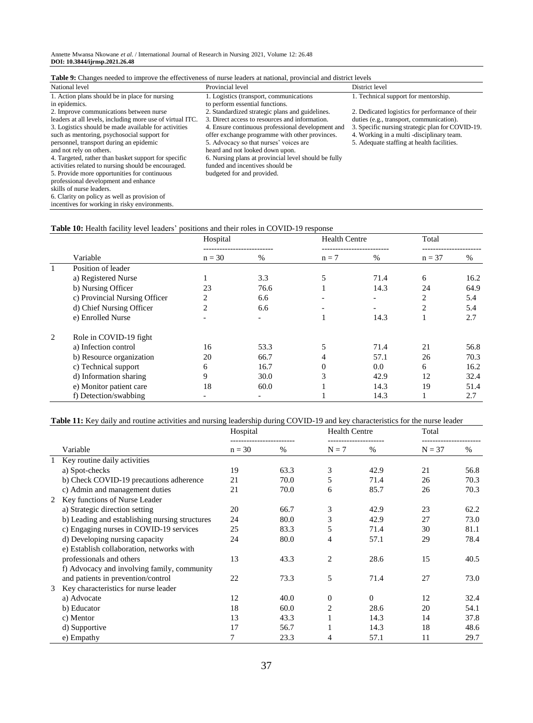Annette Mwansa Nkowane *et al*. / International Journal of Research in Nursing 2021, Volume 12: 26.48 **DOI: 10.3844/ijrnsp.2021.26.48**

| <b>Table 9:</b> Changes needed to improve the effectiveness of nurse leaders at national, provincial and district levels |                                                      |                                                  |  |  |  |  |  |  |  |
|--------------------------------------------------------------------------------------------------------------------------|------------------------------------------------------|--------------------------------------------------|--|--|--|--|--|--|--|
| National level                                                                                                           | Provincial level                                     | District level                                   |  |  |  |  |  |  |  |
| 1. Action plans should be in place for nursing                                                                           | 1. Logistics (transport, communications)             | 1. Technical support for mentorship.             |  |  |  |  |  |  |  |
| in epidemics.                                                                                                            | to perform essential functions.                      |                                                  |  |  |  |  |  |  |  |
| 2. Improve communications between nurse                                                                                  | 2. Standardized strategic plans and guidelines.      | 2. Dedicated logistics for performance of their  |  |  |  |  |  |  |  |
| leaders at all levels, including more use of virtual ITC.                                                                | 3. Direct access to resources and information.       | duties (e.g., transport, communication).         |  |  |  |  |  |  |  |
| 3. Logistics should be made available for activities                                                                     | 4. Ensure continuous professional development and    | 3. Specific nursing strategic plan for COVID-19. |  |  |  |  |  |  |  |
| such as mentoring, psychosocial support for                                                                              | offer exchange programme with other provinces.       | 4. Working in a multi -disciplinary team.        |  |  |  |  |  |  |  |
| personnel, transport during an epidemic                                                                                  | 5. Advocacy so that nurses' voices are               | 5. Adequate staffing at health facilities.       |  |  |  |  |  |  |  |
| and not rely on others.                                                                                                  | heard and not looked down upon.                      |                                                  |  |  |  |  |  |  |  |
| 4. Targeted, rather than basket support for specific                                                                     | 6. Nursing plans at provincial level should be fully |                                                  |  |  |  |  |  |  |  |
| activities related to nursing should be encouraged.                                                                      | funded and incentives should be                      |                                                  |  |  |  |  |  |  |  |
| 5. Provide more opportunities for continuous                                                                             | budgeted for and provided.                           |                                                  |  |  |  |  |  |  |  |
| professional development and enhance                                                                                     |                                                      |                                                  |  |  |  |  |  |  |  |
| skills of nurse leaders.                                                                                                 |                                                      |                                                  |  |  |  |  |  |  |  |
| 6. Clarity on policy as well as provision of                                                                             |                                                      |                                                  |  |  |  |  |  |  |  |

## incentives for working in risky environments.

#### **Table 10:** Health facility level leaders' positions and their roles in COVID-19 response

|              |                               | Hospital       |                          | <b>Health Centre</b> |                              | Total          |      |
|--------------|-------------------------------|----------------|--------------------------|----------------------|------------------------------|----------------|------|
|              | Variable                      | $n = 30$       | <br>%                    | $n = 7$              | --------------------<br>$\%$ | $n = 37$       | %    |
| $\mathbf{1}$ | Position of leader            |                |                          |                      |                              |                |      |
|              | a) Registered Nurse           |                | 3.3                      | 5                    | 71.4                         | 6              | 16.2 |
|              | b) Nursing Officer            | 23             | 76.6                     |                      | 14.3                         | 24             | 64.9 |
|              | c) Provincial Nursing Officer | 2              | 6.6                      |                      | $\overline{\phantom{a}}$     | 2              | 5.4  |
|              | d) Chief Nursing Officer      | $\mathfrak{D}$ | 6.6                      |                      |                              | $\overline{c}$ | 5.4  |
|              | e) Enrolled Nurse             |                | $\overline{\phantom{a}}$ |                      | 14.3                         |                | 2.7  |
| 2            | Role in COVID-19 fight        |                |                          |                      |                              |                |      |
|              | a) Infection control          | 16             | 53.3                     |                      | 71.4                         | 21             | 56.8 |
|              | b) Resource organization      | 20             | 66.7                     | 4                    | 57.1                         | 26             | 70.3 |
|              | c) Technical support          | 6              | 16.7                     |                      | 0.0                          | 6              | 16.2 |
|              | d) Information sharing        | 9              | 30.0                     |                      | 42.9                         | 12             | 32.4 |
|              | e) Monitor patient care       | 18             | 60.0                     |                      | 14.3                         | 19             | 51.4 |
|              | f) Detection/swabbing         |                | $\overline{\phantom{a}}$ |                      | 14.3                         |                | 2.7  |

# **Table 11:** Key daily and routine activities and nursing leadership during COVID-19 and key characteristics for the nurse leader

|   |                                                | Hospital |      | <b>Health Centre</b> |          | Total    |      |
|---|------------------------------------------------|----------|------|----------------------|----------|----------|------|
|   | Variable                                       | $n = 30$ | $\%$ | $N = 7$              | $\%$     | $N = 37$ | $\%$ |
|   | 1 Key routine daily activities                 |          |      |                      |          |          |      |
|   | a) Spot-checks                                 | 19       | 63.3 | 3                    | 42.9     | 21       | 56.8 |
|   | b) Check COVID-19 precautions adherence        | 21       | 70.0 | 5                    | 71.4     | 26       | 70.3 |
|   | c) Admin and management duties                 | 21       | 70.0 | 6                    | 85.7     | 26       | 70.3 |
| 2 | Key functions of Nurse Leader                  |          |      |                      |          |          |      |
|   | a) Strategic direction setting                 | 20       | 66.7 | 3                    | 42.9     | 23       | 62.2 |
|   | b) Leading and establishing nursing structures | 24       | 80.0 | 3                    | 42.9     | 27       | 73.0 |
|   | c) Engaging nurses in COVID-19 services        | 25       | 83.3 | 5                    | 71.4     | 30       | 81.1 |
|   | d) Developing nursing capacity                 | 24       | 80.0 | 4                    | 57.1     | 29       | 78.4 |
|   | e) Establish collaboration, networks with      |          |      |                      |          |          |      |
|   | professionals and others                       | 13       | 43.3 | $\overline{2}$       | 28.6     | 15       | 40.5 |
|   | f) Advocacy and involving family, community    |          |      |                      |          |          |      |
|   | and patients in prevention/control             | 22       | 73.3 | 5                    | 71.4     | 27       | 73.0 |
| 3 | Key characteristics for nurse leader           |          |      |                      |          |          |      |
|   | a) Advocate                                    | 12       | 40.0 | $\overline{0}$       | $\Omega$ | 12       | 32.4 |
|   | b) Educator                                    | 18       | 60.0 | 2                    | 28.6     | 20       | 54.1 |
|   | c) Mentor                                      | 13       | 43.3 |                      | 14.3     | 14       | 37.8 |
|   | d) Supportive                                  | 17       | 56.7 |                      | 14.3     | 18       | 48.6 |
|   | e) Empathy                                     | 7        | 23.3 | 4                    | 57.1     | 11       | 29.7 |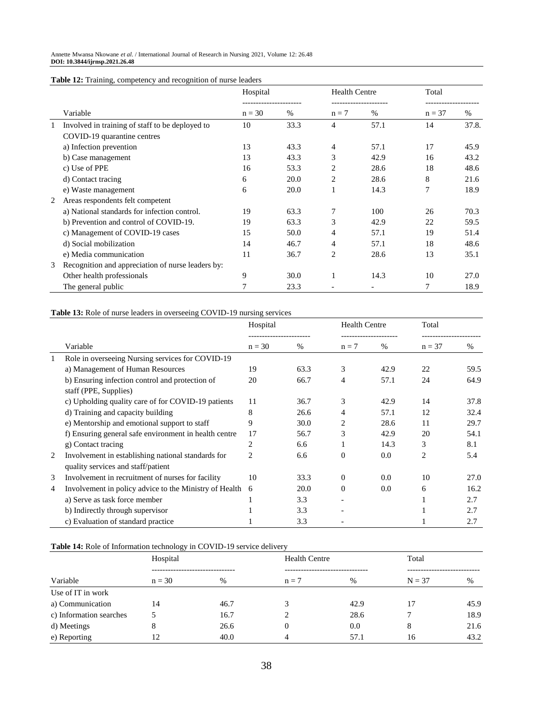| <b>Table 12:</b> Training, competency and recognition of nurse leaders |  |  |
|------------------------------------------------------------------------|--|--|
|                                                                        |  |  |

|   |                                                   | Hospital |      | <b>Health Centre</b> |      | Total    |       |
|---|---------------------------------------------------|----------|------|----------------------|------|----------|-------|
|   | Variable                                          | $n = 30$ | $\%$ | $n = 7$              | $\%$ | $n = 37$ | %     |
|   | Involved in training of staff to be deployed to   | 10       | 33.3 | 4                    | 57.1 | 14       | 37.8. |
|   | COVID-19 quarantine centres                       |          |      |                      |      |          |       |
|   | a) Infection prevention                           | 13       | 43.3 | 4                    | 57.1 | 17       | 45.9  |
|   | b) Case management                                | 13       | 43.3 | 3                    | 42.9 | 16       | 43.2  |
|   | c) Use of PPE                                     | 16       | 53.3 | 2                    | 28.6 | 18       | 48.6  |
|   | d) Contact tracing                                | 6        | 20.0 | 2                    | 28.6 | 8        | 21.6  |
|   | e) Waste management                               | 6        | 20.0 |                      | 14.3 | 7        | 18.9  |
| 2 | Areas respondents felt competent                  |          |      |                      |      |          |       |
|   | a) National standards for infection control.      | 19       | 63.3 | 7                    | 100  | 26       | 70.3  |
|   | b) Prevention and control of COVID-19.            | 19       | 63.3 | 3                    | 42.9 | 22       | 59.5  |
|   | c) Management of COVID-19 cases                   | 15       | 50.0 | 4                    | 57.1 | 19       | 51.4  |
|   | d) Social mobilization                            | 14       | 46.7 | 4                    | 57.1 | 18       | 48.6  |
|   | e) Media communication                            | 11       | 36.7 | 2                    | 28.6 | 13       | 35.1  |
| 3 | Recognition and appreciation of nurse leaders by: |          |      |                      |      |          |       |
|   | Other health professionals                        | 9        | 30.0 |                      | 14.3 | 10       | 27.0  |
|   | The general public                                | 7        | 23.3 |                      |      | 7        | 18.9  |

## **Table 13:** Role of nurse leaders in overseeing COVID-19 nursing services

|   |                                                                                          | Hospital       |                              | <b>Health Centre</b> |      | Total                       |      |
|---|------------------------------------------------------------------------------------------|----------------|------------------------------|----------------------|------|-----------------------------|------|
|   | Variable                                                                                 | $n = 30$       | --------------------<br>$\%$ | $n = 7$              | $\%$ | ---------------<br>$n = 37$ | $\%$ |
| 1 | Role in overseeing Nursing services for COVID-19                                         |                |                              |                      |      |                             |      |
|   | a) Management of Human Resources                                                         | 19             | 63.3                         | 3                    | 42.9 | 22                          | 59.5 |
|   | b) Ensuring infection control and protection of                                          | 20             | 66.7                         | 4                    | 57.1 | 24                          | 64.9 |
|   | staff (PPE, Supplies)                                                                    |                |                              |                      |      |                             |      |
|   | c) Upholding quality care of for COVID-19 patients                                       | 11             | 36.7                         | 3                    | 42.9 | 14                          | 37.8 |
|   | d) Training and capacity building                                                        | 8              | 26.6                         | 4                    | 57.1 | 12                          | 32.4 |
|   | e) Mentorship and emotional support to staff                                             | 9              | 30.0                         | 2                    | 28.6 | 11                          | 29.7 |
|   | f) Ensuring general safe environment in health centre                                    | 17             | 56.7                         | 3                    | 42.9 | 20                          | 54.1 |
|   | g) Contact tracing                                                                       | 2              | 6.6                          |                      | 14.3 | 3                           | 8.1  |
| 2 | Involvement in establishing national standards for<br>quality services and staff/patient | $\overline{c}$ | 6.6                          | $\Omega$             | 0.0  | $\overline{2}$              | 5.4  |
| 3 | Involvement in recruitment of nurses for facility                                        | 10             | 33.3                         | $\Omega$             | 0.0  | 10                          | 27.0 |
| 4 | Involvement in policy advice to the Ministry of Health                                   | 6              | 20.0                         | $\theta$             | 0.0  | 6                           | 16.2 |
|   | a) Serve as task force member                                                            |                | 3.3                          |                      |      |                             | 2.7  |
|   | b) Indirectly through supervisor                                                         |                | 3.3                          |                      |      |                             | 2.7  |
|   | c) Evaluation of standard practice                                                       |                | 3.3                          |                      |      |                             | 2.7  |

#### **Table 14:** Role of Information technology in COVID-19 service delivery

|                         | ິ<br>Hospital |      | <b>Health Centre</b> |      | Total    |      |
|-------------------------|---------------|------|----------------------|------|----------|------|
| Variable                | $n = 30$      | %    | $n = 7$              | $\%$ | $N = 37$ | %    |
| Use of IT in work       |               |      |                      |      |          |      |
| a) Communication        | 14            | 46.7 |                      | 42.9 | 17       | 45.9 |
| c) Information searches |               | 16.7 |                      | 28.6 |          | 18.9 |
| d) Meetings             | 8             | 26.6 |                      | 0.0  | 8        | 21.6 |
| e) Reporting            | 12            | 40.0 |                      | 57.1 | 16       | 43.2 |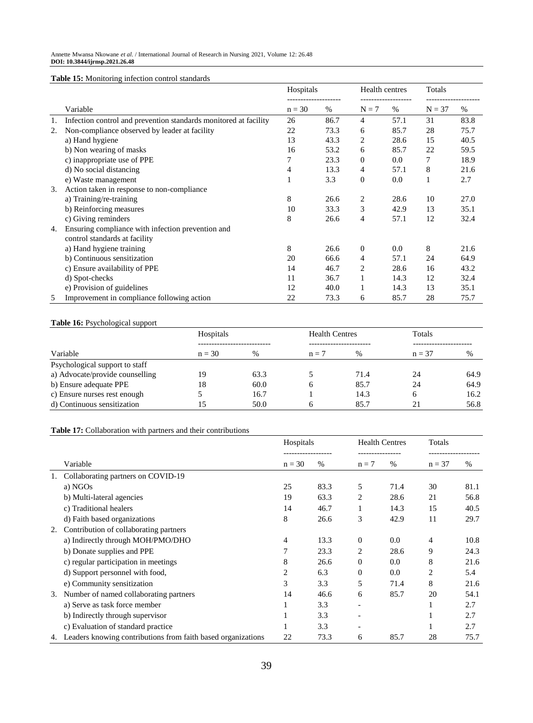**Table 15:** Monitoring infection control standards

|    |                                                                  | Hospitals |      | Health centres |         | Totals   |      |
|----|------------------------------------------------------------------|-----------|------|----------------|---------|----------|------|
|    | Variable                                                         | $n = 30$  | $\%$ | $N = 7$        | $\%$    | $N = 37$ | $\%$ |
| 1. | Infection control and prevention standards monitored at facility | 26        | 86.7 | 4              | 57.1    | 31       | 83.8 |
| 2. | Non-compliance observed by leader at facility                    | 22        | 73.3 | 6              | 85.7    | 28       | 75.7 |
|    | a) Hand hygiene                                                  | 13        | 43.3 | 2              | 28.6    | 15       | 40.5 |
|    | b) Non wearing of masks                                          | 16        | 53.2 | 6              | 85.7    | 22       | 59.5 |
|    | c) inappropriate use of PPE                                      |           | 23.3 | $\overline{0}$ | $0.0\,$ | 7        | 18.9 |
|    | d) No social distancing                                          | 4         | 13.3 | 4              | 57.1    | 8        | 21.6 |
|    | e) Waste management                                              |           | 3.3  | $\mathbf{0}$   | 0.0     |          | 2.7  |
| 3. | Action taken in response to non-compliance                       |           |      |                |         |          |      |
|    | a) Training/re-training                                          | 8         | 26.6 | 2              | 28.6    | 10       | 27.0 |
|    | b) Reinforcing measures                                          | 10        | 33.3 | 3              | 42.9    | 13       | 35.1 |
|    | c) Giving reminders                                              | 8         | 26.6 | 4              | 57.1    | 12       | 32.4 |
| 4. | Ensuring compliance with infection prevention and                |           |      |                |         |          |      |
|    | control standards at facility                                    |           |      |                |         |          |      |
|    | a) Hand hygiene training                                         | 8         | 26.6 | $\overline{0}$ | 0.0     | 8        | 21.6 |
|    | b) Continuous sensitization                                      | 20        | 66.6 | 4              | 57.1    | 24       | 64.9 |
|    | c) Ensure availability of PPE                                    | 14        | 46.7 | 2              | 28.6    | 16       | 43.2 |
|    | d) Spot-checks                                                   | 11        | 36.7 | 1              | 14.3    | 12       | 32.4 |
|    | e) Provision of guidelines                                       | 12        | 40.0 | 1              | 14.3    | 13       | 35.1 |
| 5  | Improvement in compliance following action                       | 22        | 73.3 | 6              | 85.7    | 28       | 75.7 |

#### **Table 16:** Psychological support

|                                 | Hospitals |      | <b>Health Centres</b> |               | Totals   |      |
|---------------------------------|-----------|------|-----------------------|---------------|----------|------|
|                                 |           |      |                       |               |          |      |
| Variable                        | $n = 30$  | $\%$ | $n = 7$               | $\frac{0}{0}$ | $n = 37$ | %    |
| Psychological support to staff  |           |      |                       |               |          |      |
| a) Advocate/provide counselling | 19        | 63.3 |                       | 71.4          | 24       | 64.9 |
| b) Ensure adequate PPE          | 18        | 60.0 |                       | 85.7          | 24       | 64.9 |
| c) Ensure nurses rest enough    |           | 16.7 |                       | 14.3          |          | 16.2 |
| d) Continuous sensitization     | 15        | 50.0 |                       | 85.7          |          | 56.8 |

## **Table 17:** Collaboration with partners and their contributions

|    |                                                              | Hospitals |      | <b>Health Centres</b>    |      | Totals         |      |
|----|--------------------------------------------------------------|-----------|------|--------------------------|------|----------------|------|
|    | Variable                                                     | $n = 30$  | $\%$ | $n = 7$                  | $\%$ | $n = 37$       | $\%$ |
|    | Collaborating partners on COVID-19                           |           |      |                          |      |                |      |
|    | a) NGOs                                                      | 25        | 83.3 | 5                        | 71.4 | 30             | 81.1 |
|    | b) Multi-lateral agencies                                    | 19        | 63.3 | 2                        | 28.6 | 21             | 56.8 |
|    | c) Traditional healers                                       | 14        | 46.7 | $\mathbf{I}$             | 14.3 | 15             | 40.5 |
|    | d) Faith based organizations                                 | 8         | 26.6 | 3                        | 42.9 | 11             | 29.7 |
| 2. | Contribution of collaborating partners                       |           |      |                          |      |                |      |
|    | a) Indirectly through MOH/PMO/DHO                            | 4         | 13.3 | $\overline{0}$           | 0.0  | 4              | 10.8 |
|    | b) Donate supplies and PPE                                   | 7         | 23.3 | 2                        | 28.6 | 9              | 24.3 |
|    | c) regular participation in meetings                         | 8         | 26.6 | $\Omega$                 | 0.0  | 8              | 21.6 |
|    | d) Support personnel with food,                              | 2         | 6.3  | $\overline{0}$           | 0.0  | $\overline{2}$ | 5.4  |
|    | e) Community sensitization                                   | 3         | 3.3  | 5                        | 71.4 | 8              | 21.6 |
| 3. | Number of named collaborating partners                       | 14        | 46.6 | 6                        | 85.7 | 20             | 54.1 |
|    | a) Serve as task force member                                |           | 3.3  | $\overline{\phantom{a}}$ |      |                | 2.7  |
|    | b) Indirectly through supervisor                             |           | 3.3  | $\overline{\phantom{a}}$ |      |                | 2.7  |
|    | c) Evaluation of standard practice                           |           | 3.3  |                          |      |                | 2.7  |
| 4. | Leaders knowing contributions from faith based organizations | 22        | 73.3 | 6                        | 85.7 | 28             | 75.7 |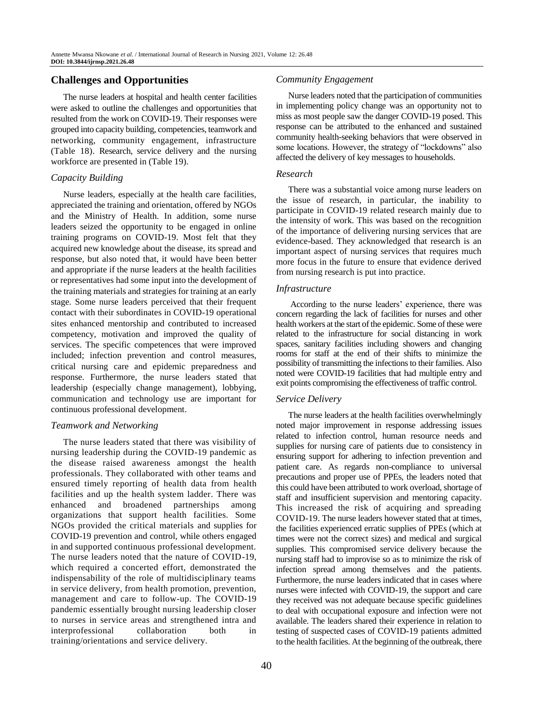# **Challenges and Opportunities**

The nurse leaders at hospital and health center facilities were asked to outline the challenges and opportunities that resulted from the work on COVID-19. Their responses were grouped into capacity building, competencies, teamwork and networking, community engagement, infrastructure (Table 18). Research, service delivery and the nursing workforce are presented in (Table 19).

### *Capacity Building*

Nurse leaders, especially at the health care facilities, appreciated the training and orientation, offered by NGOs and the Ministry of Health. In addition, some nurse leaders seized the opportunity to be engaged in online training programs on COVID-19. Most felt that they acquired new knowledge about the disease, its spread and response, but also noted that, it would have been better and appropriate if the nurse leaders at the health facilities or representatives had some input into the development of the training materials and strategies for training at an early stage. Some nurse leaders perceived that their frequent contact with their subordinates in COVID-19 operational sites enhanced mentorship and contributed to increased competency, motivation and improved the quality of services. The specific competences that were improved included; infection prevention and control measures, critical nursing care and epidemic preparedness and response. Furthermore, the nurse leaders stated that leadership (especially change management), lobbying, communication and technology use are important for continuous professional development.

### *Teamwork and Networking*

The nurse leaders stated that there was visibility of nursing leadership during the COVID-19 pandemic as the disease raised awareness amongst the health professionals. They collaborated with other teams and ensured timely reporting of health data from health facilities and up the health system ladder. There was enhanced and broadened partnerships among organizations that support health facilities. Some NGOs provided the critical materials and supplies for COVID-19 prevention and control, while others engaged in and supported continuous professional development. The nurse leaders noted that the nature of COVID-19, which required a concerted effort, demonstrated the indispensability of the role of multidisciplinary teams in service delivery, from health promotion, prevention, management and care to follow-up. The COVID-19 pandemic essentially brought nursing leadership closer to nurses in service areas and strengthened intra and interprofessional collaboration both in training/orientations and service delivery.

#### *Community Engagement*

Nurse leaders noted that the participation of communities in implementing policy change was an opportunity not to miss as most people saw the danger COVID-19 posed. This response can be attributed to the enhanced and sustained community health-seeking behaviors that were observed in some locations. However, the strategy of "lockdowns" also affected the delivery of key messages to households.

#### *Research*

There was a substantial voice among nurse leaders on the issue of research, in particular, the inability to participate in COVID-19 related research mainly due to the intensity of work. This was based on the recognition of the importance of delivering nursing services that are evidence-based. They acknowledged that research is an important aspect of nursing services that requires much more focus in the future to ensure that evidence derived from nursing research is put into practice.

#### *Infrastructure*

According to the nurse leaders' experience, there was concern regarding the lack of facilities for nurses and other health workers at the start of the epidemic. Some of these were related to the infrastructure for social distancing in work spaces, sanitary facilities including showers and changing rooms for staff at the end of their shifts to minimize the possibility of transmitting the infections to their families. Also noted were COVID-19 facilities that had multiple entry and exit points compromising the effectiveness of traffic control.

#### *Service Delivery*

The nurse leaders at the health facilities overwhelmingly noted major improvement in response addressing issues related to infection control, human resource needs and supplies for nursing care of patients due to consistency in ensuring support for adhering to infection prevention and patient care. As regards non-compliance to universal precautions and proper use of PPEs, the leaders noted that this could have been attributed to work overload, shortage of staff and insufficient supervision and mentoring capacity. This increased the risk of acquiring and spreading COVID-19. The nurse leaders however stated that at times, the facilities experienced erratic supplies of PPEs (which at times were not the correct sizes) and medical and surgical supplies. This compromised service delivery because the nursing staff had to improvise so as to minimize the risk of infection spread among themselves and the patients. Furthermore, the nurse leaders indicated that in cases where nurses were infected with COVID-19, the support and care they received was not adequate because specific guidelines to deal with occupational exposure and infection were not available. The leaders shared their experience in relation to testing of suspected cases of COVID-19 patients admitted to the health facilities. At the beginning of the outbreak, there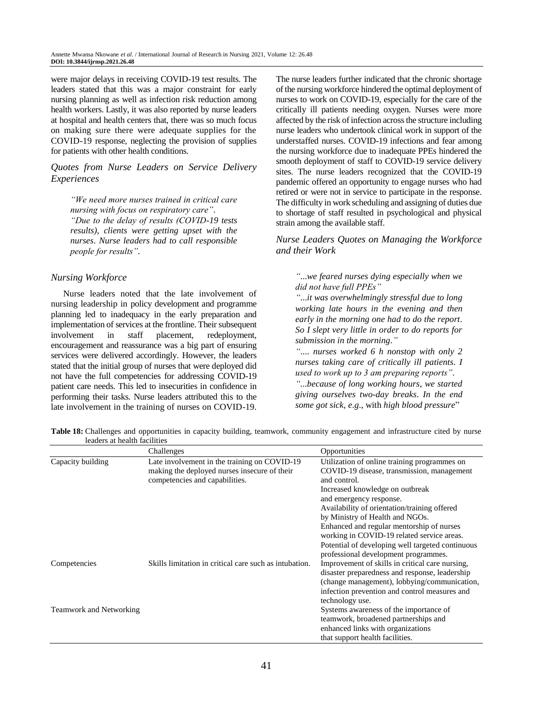were major delays in receiving COVID-19 test results. The leaders stated that this was a major constraint for early nursing planning as well as infection risk reduction among health workers. Lastly, it was also reported by nurse leaders at hospital and health centers that, there was so much focus on making sure there were adequate supplies for the COVID-19 response, neglecting the provision of supplies for patients with other health conditions.

*Quotes from Nurse Leaders on Service Delivery Experiences*

*"We need more nurses trained in critical care nursing with focus on respiratory care"*. *"Due to the delay of results (COVID-19 tests results)*, *clients were getting upset with the nurses*. *Nurse leaders had to call responsible people for results"*.

### *Nursing Workforce*

Nurse leaders noted that the late involvement of nursing leadership in policy development and programme planning led to inadequacy in the early preparation and implementation of services at the frontline. Their subsequent involvement in staff placement, redeployment, encouragement and reassurance was a big part of ensuring services were delivered accordingly. However, the leaders stated that the initial group of nurses that were deployed did not have the full competencies for addressing COVID-19 patient care needs. This led to insecurities in confidence in performing their tasks. Nurse leaders attributed this to the late involvement in the training of nurses on COVID-19. The nurse leaders further indicated that the chronic shortage of the nursing workforce hindered the optimal deployment of nurses to work on COVID-19, especially for the care of the critically ill patients needing oxygen. Nurses were more affected by the risk of infection across the structure including nurse leaders who undertook clinical work in support of the understaffed nurses. COVID-19 infections and fear among the nursing workforce due to inadequate PPEs hindered the smooth deployment of staff to COVID-19 service delivery sites. The nurse leaders recognized that the COVID-19 pandemic offered an opportunity to engage nurses who had retired or were not in service to participate in the response. The difficulty in work scheduling and assigning of duties due to shortage of staff resulted in psychological and physical strain among the available staff.

*Nurse Leaders Quotes on Managing the Workforce and their Work*

*"*...*we feared nurses dying especially when we did not have full PPEs"* 

*"*...*it was overwhelmingly stressful due to long working late hours in the evening and then early in the morning one had to do the report*. *So I slept very little in order to do reports for submission in the morning*.*"* 

*"*.... *nurses worked 6 h nonstop with only 2 nurses taking care of critically ill patients*. *I used to work up to 3 am preparing reports"*. *"*...*because of long working hours*, *we started giving ourselves two-day breaks*. *In the end some got sick*, *e*.*g*., with *high blood pressure*"

**Table 18:** Challenges and opportunities in capacity building, teamwork, community engagement and infrastructure cited by nurse leaders at health facilities

|                                | Challenges                                                                                                                     | Opportunities                                                                                                                                                                                                                                                                                                                                                                                              |
|--------------------------------|--------------------------------------------------------------------------------------------------------------------------------|------------------------------------------------------------------------------------------------------------------------------------------------------------------------------------------------------------------------------------------------------------------------------------------------------------------------------------------------------------------------------------------------------------|
| Capacity building              | Late involvement in the training on COVID-19<br>making the deployed nurses insecure of their<br>competencies and capabilities. | Utilization of online training programmes on<br>COVID-19 disease, transmission, management<br>and control.<br>Increased knowledge on outbreak<br>and emergency response.<br>Availability of orientation/training offered<br>by Ministry of Health and NGOs.<br>Enhanced and regular mentorship of nurses<br>working in COVID-19 related service areas.<br>Potential of developing well targeted continuous |
| Competencies                   | Skills limitation in critical care such as intubation.                                                                         | professional development programmes.<br>Improvement of skills in critical care nursing,<br>disaster preparedness and response, leadership<br>(change management), lobbying/communication,<br>infection prevention and control measures and<br>technology use.                                                                                                                                              |
| <b>Teamwork and Networking</b> |                                                                                                                                | Systems awareness of the importance of<br>teamwork, broadened partnerships and<br>enhanced links with organizations<br>that support health facilities.                                                                                                                                                                                                                                                     |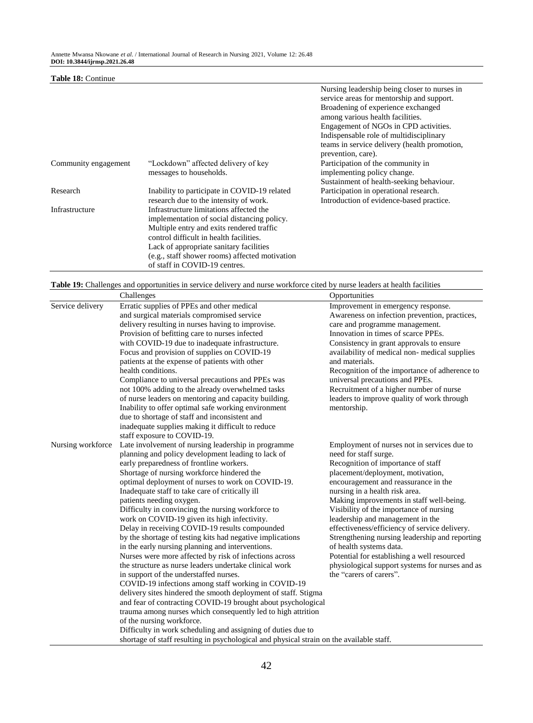#### **Table 18:** Continue

|                      |                                                | Nursing leadership being closer to nurses in<br>service areas for mentorship and support. |
|----------------------|------------------------------------------------|-------------------------------------------------------------------------------------------|
|                      |                                                | Broadening of experience exchanged<br>among various health facilities.                    |
|                      |                                                | Engagement of NGOs in CPD activities.                                                     |
|                      |                                                | Indispensable role of multidisciplinary                                                   |
|                      |                                                | teams in service delivery (health promotion,<br>prevention, care).                        |
| Community engagement | "Lockdown" affected delivery of key            | Participation of the community in                                                         |
|                      | messages to households.                        | implementing policy change.                                                               |
|                      |                                                | Sustainment of health-seeking behaviour.                                                  |
| Research             | Inability to participate in COVID-19 related   | Participation in operational research.                                                    |
|                      | research due to the intensity of work.         | Introduction of evidence-based practice.                                                  |
| Infrastructure       | Infrastructure limitations affected the        |                                                                                           |
|                      | implementation of social distancing policy.    |                                                                                           |
|                      | Multiple entry and exits rendered traffic      |                                                                                           |
|                      | control difficult in health facilities.        |                                                                                           |
|                      | Lack of appropriate sanitary facilities        |                                                                                           |
|                      | (e.g., staff shower rooms) affected motivation |                                                                                           |
|                      |                                                |                                                                                           |

**Table 19:** Challenges and opportunities in service delivery and nurse workforce cited by nurse leaders at health facilities

of staff in COVID-19 centres.

|                   | Challenges                                                                                                                                                                                                                                                                                                                                                                                                                                                                                                                                                                                                                                                                                                                                                                                                                                                                                                                                                                                                                                                                                                                                                                                                                      | Opportunities                                                                                                                                                                                                                                                                                                                                                                                                                                                                                                                                                                                                   |
|-------------------|---------------------------------------------------------------------------------------------------------------------------------------------------------------------------------------------------------------------------------------------------------------------------------------------------------------------------------------------------------------------------------------------------------------------------------------------------------------------------------------------------------------------------------------------------------------------------------------------------------------------------------------------------------------------------------------------------------------------------------------------------------------------------------------------------------------------------------------------------------------------------------------------------------------------------------------------------------------------------------------------------------------------------------------------------------------------------------------------------------------------------------------------------------------------------------------------------------------------------------|-----------------------------------------------------------------------------------------------------------------------------------------------------------------------------------------------------------------------------------------------------------------------------------------------------------------------------------------------------------------------------------------------------------------------------------------------------------------------------------------------------------------------------------------------------------------------------------------------------------------|
| Service delivery  | Erratic supplies of PPEs and other medical<br>and surgical materials compromised service<br>delivery resulting in nurses having to improvise.<br>Provision of befitting care to nurses infected<br>with COVID-19 due to inadequate infrastructure.<br>Focus and provision of supplies on COVID-19<br>patients at the expense of patients with other<br>health conditions.<br>Compliance to universal precautions and PPEs was<br>not 100% adding to the already overwhelmed tasks<br>of nurse leaders on mentoring and capacity building.<br>Inability to offer optimal safe working environment<br>due to shortage of staff and inconsistent and<br>inadequate supplies making it difficult to reduce<br>staff exposure to COVID-19.                                                                                                                                                                                                                                                                                                                                                                                                                                                                                           | Improvement in emergency response.<br>Awareness on infection prevention, practices,<br>care and programme management.<br>Innovation in times of scarce PPEs.<br>Consistency in grant approvals to ensure<br>availability of medical non-medical supplies<br>and materials.<br>Recognition of the importance of adherence to<br>universal precautions and PPEs.<br>Recruitment of a higher number of nurse<br>leaders to improve quality of work through<br>mentorship.                                                                                                                                          |
| Nursing workforce | Late involvement of nursing leadership in programme<br>planning and policy development leading to lack of<br>early preparedness of frontline workers.<br>Shortage of nursing workforce hindered the<br>optimal deployment of nurses to work on COVID-19.<br>Inadequate staff to take care of critically ill<br>patients needing oxygen.<br>Difficulty in convincing the nursing workforce to<br>work on COVID-19 given its high infectivity.<br>Delay in receiving COVID-19 results compounded<br>by the shortage of testing kits had negative implications<br>in the early nursing planning and interventions.<br>Nurses were more affected by risk of infections across<br>the structure as nurse leaders undertake clinical work<br>in support of the understaffed nurses.<br>COVID-19 infections among staff working in COVID-19<br>delivery sites hindered the smooth deployment of staff. Stigma<br>and fear of contracting COVID-19 brought about psychological<br>trauma among nurses which consequently led to high attrition<br>of the nursing workforce.<br>Difficulty in work scheduling and assigning of duties due to<br>shortage of staff resulting in psychological and physical strain on the available staff. | Employment of nurses not in services due to<br>need for staff surge.<br>Recognition of importance of staff<br>placement/deployment, motivation,<br>encouragement and reassurance in the<br>nursing in a health risk area.<br>Making improvements in staff well-being.<br>Visibility of the importance of nursing<br>leadership and management in the<br>effectiveness/efficiency of service delivery.<br>Strengthening nursing leadership and reporting<br>of health systems data.<br>Potential for establishing a well resourced<br>physiological support systems for nurses and as<br>the "carers of carers". |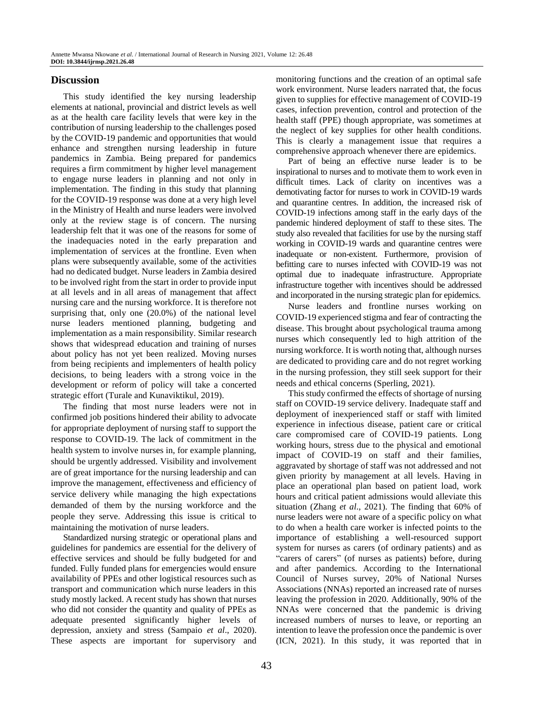## **Discussion**

This study identified the key nursing leadership elements at national, provincial and district levels as well as at the health care facility levels that were key in the contribution of nursing leadership to the challenges posed by the COVID-19 pandemic and opportunities that would enhance and strengthen nursing leadership in future pandemics in Zambia. Being prepared for pandemics requires a firm commitment by higher level management to engage nurse leaders in planning and not only in implementation. The finding in this study that planning for the COVID-19 response was done at a very high level in the Ministry of Health and nurse leaders were involved only at the review stage is of concern. The nursing leadership felt that it was one of the reasons for some of the inadequacies noted in the early preparation and implementation of services at the frontline. Even when plans were subsequently available, some of the activities had no dedicated budget. Nurse leaders in Zambia desired to be involved right from the start in order to provide input at all levels and in all areas of management that affect nursing care and the nursing workforce. It is therefore not surprising that, only one (20.0%) of the national level nurse leaders mentioned planning, budgeting and implementation as a main responsibility. Similar research shows that widespread education and training of nurses about policy has not yet been realized. Moving nurses from being recipients and implementers of health policy decisions, to being leaders with a strong voice in the development or reform of policy will take a concerted strategic effort (Turale and Kunaviktikul, 2019).

The finding that most nurse leaders were not in confirmed job positions hindered their ability to advocate for appropriate deployment of nursing staff to support the response to COVID-19. The lack of commitment in the health system to involve nurses in, for example planning, should be urgently addressed. Visibility and involvement are of great importance for the nursing leadership and can improve the management, effectiveness and efficiency of service delivery while managing the high expectations demanded of them by the nursing workforce and the people they serve. Addressing this issue is critical to maintaining the motivation of nurse leaders.

Standardized nursing strategic or operational plans and guidelines for pandemics are essential for the delivery of effective services and should be fully budgeted for and funded. Fully funded plans for emergencies would ensure availability of PPEs and other logistical resources such as transport and communication which nurse leaders in this study mostly lacked. A recent study has shown that nurses who did not consider the quantity and quality of PPEs as adequate presented significantly higher levels of depression, anxiety and stress (Sampaio *et al*., 2020). These aspects are important for supervisory and

monitoring functions and the creation of an optimal safe work environment. Nurse leaders narrated that, the focus given to supplies for effective management of COVID-19 cases, infection prevention, control and protection of the health staff (PPE) though appropriate, was sometimes at the neglect of key supplies for other health conditions. This is clearly a management issue that requires a comprehensive approach whenever there are epidemics.

Part of being an effective nurse leader is to be inspirational to nurses and to motivate them to work even in difficult times. Lack of clarity on incentives was a demotivating factor for nurses to work in COVID-19 wards and quarantine centres. In addition, the increased risk of COVID-19 infections among staff in the early days of the pandemic hindered deployment of staff to these sites. The study also revealed that facilities for use by the nursing staff working in COVID-19 wards and quarantine centres were inadequate or non-existent. Furthermore, provision of befitting care to nurses infected with COVID-19 was not optimal due to inadequate infrastructure. Appropriate infrastructure together with incentives should be addressed and incorporated in the nursing strategic plan for epidemics.

Nurse leaders and frontline nurses working on COVID-19 experienced stigma and fear of contracting the disease. This brought about psychological trauma among nurses which consequently led to high attrition of the nursing workforce. It is worth noting that, although nurses are dedicated to providing care and do not regret working in the nursing profession, they still seek support for their needs and ethical concerns (Sperling, 2021).

This study confirmed the effects of shortage of nursing staff on COVID-19 service delivery. Inadequate staff and deployment of inexperienced staff or staff with limited experience in infectious disease, patient care or critical care compromised care of COVID-19 patients. Long working hours, stress due to the physical and emotional impact of COVID-19 on staff and their families, aggravated by shortage of staff was not addressed and not given priority by management at all levels. Having in place an operational plan based on patient load, work hours and critical patient admissions would alleviate this situation (Zhang *et al*., 2021). The finding that 60% of nurse leaders were not aware of a specific policy on what to do when a health care worker is infected points to the importance of establishing a well-resourced support system for nurses as carers (of ordinary patients) and as "carers of carers" (of nurses as patients) before, during and after pandemics. According to the International Council of Nurses survey, 20% of National Nurses Associations (NNAs) reported an increased rate of nurses leaving the profession in 2020. Additionally, 90% of the NNAs were concerned that the pandemic is driving increased numbers of nurses to leave, or reporting an intention to leave the profession once the pandemic is over (ICN, 2021). In this study, it was reported that in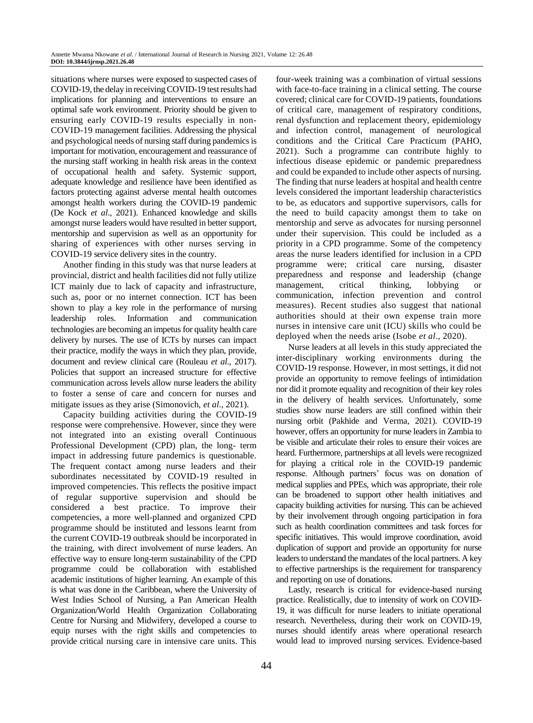situations where nurses were exposed to suspected cases of COVID-19, the delay in receiving COVID-19 test results had implications for planning and interventions to ensure an optimal safe work environment. Priority should be given to ensuring early COVID-19 results especially in non-COVID-19 management facilities. Addressing the physical and psychological needs of nursing staff during pandemics is important for motivation, encouragement and reassurance of the nursing staff working in health risk areas in the context of occupational health and safety. Systemic support, adequate knowledge and resilience have been identified as factors protecting against adverse mental health outcomes amongst health workers during the COVID-19 pandemic (De Kock *et al*., 2021). Enhanced knowledge and skills amongst nurse leaders would have resulted in better support, mentorship and supervision as well as an opportunity for sharing of experiences with other nurses serving in COVID-19 service delivery sites in the country.

Another finding in this study was that nurse leaders at provincial, district and health facilities did not fully utilize ICT mainly due to lack of capacity and infrastructure, such as, poor or no internet connection. ICT has been shown to play a key role in the performance of nursing leadership roles. Information and communication technologies are becoming an impetus for quality health care delivery by nurses. The use of ICTs by nurses can impact their practice, modify the ways in which they plan, provide, document and review clinical care (Rouleau *et al*., 2017). Policies that support an increased structure for effective communication across levels allow nurse leaders the ability to foster a sense of care and concern for nurses and mitigate issues as they arise (Simonovich, *et al*., 2021).

Capacity building activities during the COVID-19 response were comprehensive. However, since they were not integrated into an existing overall Continuous Professional Development (CPD) plan, the long- term impact in addressing future pandemics is questionable. The frequent contact among nurse leaders and their subordinates necessitated by COVID-19 resulted in improved competencies. This reflects the positive impact of regular supportive supervision and should be considered a best practice. To improve their competencies, a more well-planned and organized CPD programme should be instituted and lessons learnt from the current COVID-19 outbreak should be incorporated in the training, with direct involvement of nurse leaders. An effective way to ensure long-term sustainability of the CPD programme could be collaboration with established academic institutions of higher learning. An example of this is what was done in the Caribbean, where the University of West Indies School of Nursing, a Pan American Health Organization/World Health Organization Collaborating Centre for Nursing and Midwifery, developed a course to equip nurses with the right skills and competencies to provide critical nursing care in intensive care units. This

four-week training was a combination of virtual sessions with face-to-face training in a clinical setting. The course covered; clinical care for COVID-19 patients, foundations of critical care, management of respiratory conditions, renal dysfunction and replacement theory, epidemiology and infection control, management of neurological conditions and the Critical Care Practicum (PAHO, 2021). Such a programme can contribute highly to infectious disease epidemic or pandemic preparedness and could be expanded to include other aspects of nursing. The finding that nurse leaders at hospital and health centre levels considered the important leadership characteristics to be, as educators and supportive supervisors, calls for the need to build capacity amongst them to take on mentorship and serve as advocates for nursing personnel under their supervision. This could be included as a priority in a CPD programme. Some of the competency areas the nurse leaders identified for inclusion in a CPD programme were; critical care nursing, disaster preparedness and response and leadership (change management, critical thinking, lobbying or communication, infection prevention and control measures). Recent studies also suggest that national authorities should at their own expense train more nurses in intensive care unit (ICU) skills who could be deployed when the needs arise (Isobe *et al*., 2020).

Nurse leaders at all levels in this study appreciated the inter-disciplinary working environments during the COVID-19 response. However, in most settings, it did not provide an opportunity to remove feelings of intimidation nor did it promote equality and recognition of their key roles in the delivery of health services. Unfortunately, some studies show nurse leaders are still confined within their nursing orbit (Pakhide and Verma, 2021). COVID-19 however, offers an opportunity for nurse leaders in Zambia to be visible and articulate their roles to ensure their voices are heard. Furthermore, partnerships at all levels were recognized for playing a critical role in the COVID-19 pandemic response. Although partners' focus was on donation of medical supplies and PPEs, which was appropriate, their role can be broadened to support other health initiatives and capacity building activities for nursing. This can be achieved by their involvement through ongoing participation in fora such as health coordination committees and task forces for specific initiatives. This would improve coordination, avoid duplication of support and provide an opportunity for nurse leaders to understand the mandates of the local partners. A key to effective partnerships is the requirement for transparency and reporting on use of donations.

Lastly, research is critical for evidence-based nursing practice. Realistically, due to intensity of work on COVID-19, it was difficult for nurse leaders to initiate operational research. Nevertheless, during their work on COVID-19, nurses should identify areas where operational research would lead to improved nursing services. Evidence-based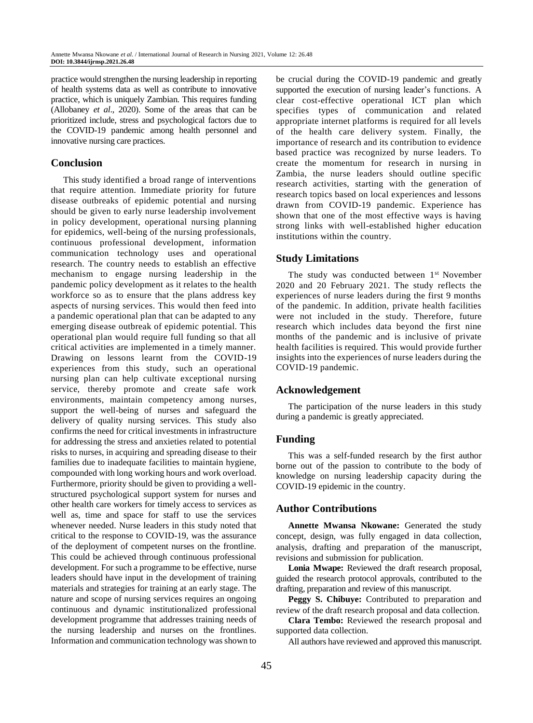practice would strengthen the nursing leadership in reporting of health systems data as well as contribute to innovative practice, which is uniquely Zambian. This requires funding (Allobaney *et al*., 2020). Some of the areas that can be prioritized include, stress and psychological factors due to the COVID-19 pandemic among health personnel and innovative nursing care practices.

## **Conclusion**

This study identified a broad range of interventions that require attention. Immediate priority for future disease outbreaks of epidemic potential and nursing should be given to early nurse leadership involvement in policy development, operational nursing planning for epidemics, well-being of the nursing professionals, continuous professional development, information communication technology uses and operational research. The country needs to establish an effective mechanism to engage nursing leadership in the pandemic policy development as it relates to the health workforce so as to ensure that the plans address key aspects of nursing services. This would then feed into a pandemic operational plan that can be adapted to any emerging disease outbreak of epidemic potential. This operational plan would require full funding so that all critical activities are implemented in a timely manner. Drawing on lessons learnt from the COVID-19 experiences from this study, such an operational nursing plan can help cultivate exceptional nursing service, thereby promote and create safe work environments, maintain competency among nurses, support the well-being of nurses and safeguard the delivery of quality nursing services. This study also confirms the need for critical investments in infrastructure for addressing the stress and anxieties related to potential risks to nurses, in acquiring and spreading disease to their families due to inadequate facilities to maintain hygiene, compounded with long working hours and work overload. Furthermore, priority should be given to providing a wellstructured psychological support system for nurses and other health care workers for timely access to services as well as, time and space for staff to use the services whenever needed. Nurse leaders in this study noted that critical to the response to COVID-19, was the assurance of the deployment of competent nurses on the frontline. This could be achieved through continuous professional development. For such a programme to be effective, nurse leaders should have input in the development of training materials and strategies for training at an early stage. The nature and scope of nursing services requires an ongoing continuous and dynamic institutionalized professional development programme that addresses training needs of the nursing leadership and nurses on the frontlines. Information and communication technology was shown to

be crucial during the COVID-19 pandemic and greatly supported the execution of nursing leader's functions. A clear cost-effective operational ICT plan which specifies types of communication and related appropriate internet platforms is required for all levels of the health care delivery system. Finally, the importance of research and its contribution to evidence based practice was recognized by nurse leaders. To create the momentum for research in nursing in Zambia, the nurse leaders should outline specific research activities, starting with the generation of research topics based on local experiences and lessons drawn from COVID-19 pandemic. Experience has shown that one of the most effective ways is having strong links with well-established higher education institutions within the country.

# **Study Limitations**

The study was conducted between 1<sup>st</sup> November 2020 and 20 February 2021. The study reflects the experiences of nurse leaders during the first 9 months of the pandemic. In addition, private health facilities were not included in the study. Therefore, future research which includes data beyond the first nine months of the pandemic and is inclusive of private health facilities is required. This would provide further insights into the experiences of nurse leaders during the COVID-19 pandemic.

## **Acknowledgement**

The participation of the nurse leaders in this study during a pandemic is greatly appreciated.

## **Funding**

This was a self-funded research by the first author borne out of the passion to contribute to the body of knowledge on nursing leadership capacity during the COVID-19 epidemic in the country.

# **Author Contributions**

**Annette Mwansa Nkowane:** Generated the study concept, design, was fully engaged in data collection, analysis, drafting and preparation of the manuscript, revisions and submission for publication.

**Lonia Mwape:** Reviewed the draft research proposal, guided the research protocol approvals, contributed to the drafting, preparation and review of this manuscript.

**Peggy S. Chibuye:** Contributed to preparation and review of the draft research proposal and data collection.

**Clara Tembo:** Reviewed the research proposal and supported data collection.

All authors have reviewed and approved this manuscript.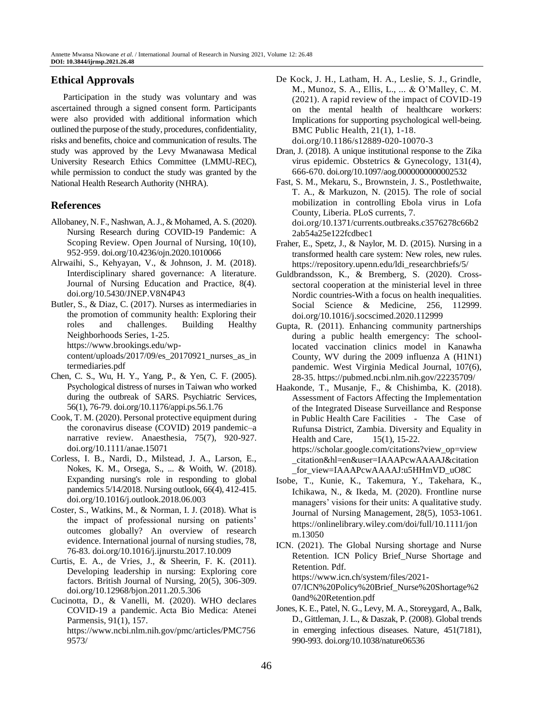# **Ethical Approvals**

Participation in the study was voluntary and was ascertained through a signed consent form. Participants were also provided with additional information which outlined the purpose of the study, procedures, confidentiality, risks and benefits, choice and communication of results. The study was approved by the Levy Mwanawasa Medical University Research Ethics Committee (LMMU-REC), while permission to conduct the study was granted by the National Health Research Authority (NHRA).

## **References**

- Allobaney, N. F., Nashwan, A. J., & Mohamed, A. S. (2020). Nursing Research during COVID-19 Pandemic: A Scoping Review. Open Journal of Nursing, 10(10), 952-959. doi.org/10.4236/ojn.2020.1010066
- Alrwaihi, S., Kehyayan, V., & Johnson, J. M. (2018). Interdisciplinary shared governance: A literature. Journal of Nursing Education and Practice, 8(4). doi.org/10.5430/JNEP.V8N4P43
- Butler, S., & Diaz, C. (2017). Nurses as intermediaries in the promotion of community health: Exploring their roles and challenges. Building Healthy Neighborhoods Series, 1-25. https://www.brookings.edu/wpcontent/uploads/2017/09/es\_20170921\_nurses\_as\_in termediaries.pdf
- Chen, C. S., Wu, H. Y., Yang, P., & Yen, C. F. (2005). Psychological distress of nurses in Taiwan who worked during the outbreak of SARS. Psychiatric Services, 56(1), 76-79. doi.org/10.1176/appi.ps.56.1.76
- Cook, T. M. (2020). Personal protective equipment during the coronavirus disease (COVID) 2019 pandemic–a narrative review. Anaesthesia, 75(7), 920-927. doi.org/10.1111/anae.15071
- Corless, I. B., Nardi, D., Milstead, J. A., Larson, E., Nokes, K. M., Orsega, S., ... & Woith, W. (2018). Expanding nursing's role in responding to global pandemics 5/14/2018. Nursing outlook, 66(4), 412-415. doi.org/10.1016/j.outlook.2018.06.003
- Coster, S., Watkins, M., & Norman, I. J. (2018). What is the impact of professional nursing on patients' outcomes globally? An overview of research evidence. International journal of nursing studies, 78, 76-83. doi.org/10.1016/j.ijnurstu.2017.10.009
- Curtis, E. A., de Vries, J., & Sheerin, F. K. (2011). Developing leadership in nursing: Exploring core factors. British Journal of Nursing, 20(5), 306-309. doi.org/10.12968/bjon.2011.20.5.306
- Cucinotta, D., & Vanelli, M. (2020). WHO declares COVID-19 a pandemic. Acta Bio Medica: Atenei Parmensis, 91(1), 157. https://www.ncbi.nlm.nih.gov/pmc/articles/PMC756 9573/
- De Kock, J. H., Latham, H. A., Leslie, S. J., Grindle, M., Munoz, S. A., Ellis, L., ... & O'Malley, C. M. (2021). A rapid review of the impact of COVID-19 on the mental health of healthcare workers: Implications for supporting psychological well-being. BMC Public Health, 21(1), 1-18. doi.org/10.1186/s12889-020-10070-3
- Dran, J. (2018). A unique institutional response to the Zika virus epidemic. Obstetrics & Gynecology, 131(4), 666-670. doi.org/10.1097/aog.0000000000002532
- Fast, S. M., Mekaru, S., Brownstein, J. S., Postlethwaite, T. A., & Markuzon, N. (2015). The role of social mobilization in controlling Ebola virus in Lofa County, Liberia. PLoS currents, 7. doi.org/10.1371/currents.outbreaks.c3576278c66b2 2ab54a25e122fcdbec1
- Fraher, E., Spetz, J., & Naylor, M. D. (2015). Nursing in a transformed health care system: New roles, new rules. [https://repository.upenn.edu/ldi\\_researchbriefs/5/](https://repository.upenn.edu/ldi_researchbriefs/5/)
- Guldbrandsson, K., & Bremberg, S. (2020). Crosssectoral cooperation at the ministerial level in three Nordic countries-With a focus on health inequalities. Social Science & Medicine, 256, 112999. doi.org/10.1016/j.socscimed.2020.112999
- Gupta, R. (2011). Enhancing community partnerships during a public health emergency: The schoollocated vaccination clinics model in Kanawha County, WV during the 2009 influenza A (H1N1) pandemic. West Virginia Medical Journal, 107(6), 28-35. https://pubmed.ncbi.nlm.nih.gov/22235709/
- Haakonde, T., Musanje, F., & Chishimba, K. (2018). Assessment of Factors Affecting the Implementation of the Integrated Disease Surveillance and Response in Public Health Care Facilities - The Case of Rufunsa District, Zambia. Diversity and Equality in Health and Care, 15(1), 15-22. https://scholar.google.com/citations?view\_op=view \_citation&hl=en&user=IAAAPcwAAAAJ&citation \_for\_view=IAAAPcwAAAAJ:u5HHmVD\_uO8C
- Isobe, T., Kunie, K., Takemura, Y., Takehara, K., Ichikawa, N., & Ikeda, M. (2020). Frontline nurse managers' visions for their units: A qualitative study. Journal of Nursing Management, 28(5), 1053-1061. https://onlinelibrary.wiley.com/doi/full/10.1111/jon m.13050
- ICN. (2021). The Global Nursing shortage and Nurse Retention. ICN Policy Brief\_Nurse Shortage and Retention. Pdf. <https://www.icn.ch/system/files/2021-> 07/ICN%20Policy%20Brief\_Nurse%20Shortage%2 0and%20Retention.pdf
- Jones, K. E., Patel, N. G., Levy, M. A., Storeygard, A., Balk, D., Gittleman, J. L., & Daszak, P. (2008). Global trends in emerging infectious diseases. Nature, 451(7181), 990-993. doi.org/10.1038/nature06536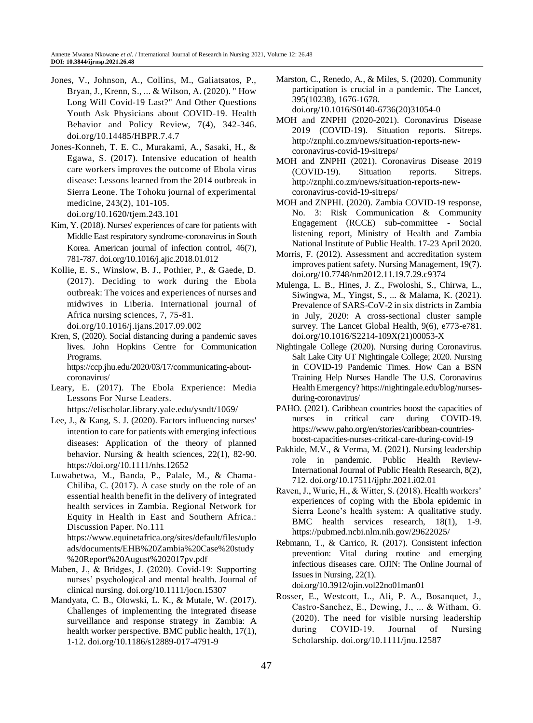- Jones, V., Johnson, A., Collins, M., Galiatsatos, P., Bryan, J., Krenn, S., ... & Wilson, A. (2020). " How Long Will Covid-19 Last?" And Other Questions Youth Ask Physicians about COVID-19. Health Behavior and Policy Review, 7(4), 342-346. doi.org/10.14485/HBPR.7.4.7
- Jones-Konneh, T. E. C., Murakami, A., Sasaki, H., & Egawa, S. (2017). Intensive education of health care workers improves the outcome of Ebola virus disease: Lessons learned from the 2014 outbreak in Sierra Leone. The Tohoku journal of experimental medicine, 243(2), 101-105. doi.org/10.1620/tjem.243.101
- Kim, Y. (2018). Nurses' experiences of care for patients with Middle East respiratory syndrome-coronavirus in South Korea. American journal of infection control, 46(7), 781-787. doi.org/10.1016/j.ajic.2018.01.012
- Kollie, E. S., Winslow, B. J., Pothier, P., & Gaede, D. (2017). Deciding to work during the Ebola outbreak: The voices and experiences of nurses and midwives in Liberia. International journal of Africa nursing sciences, 7, 75-81. [doi.org/10.1016/j.ijans.2017.09.002](https://doi.org/10.1016/j.ijans.2017.09.002)
- Kren, S, (2020). Social distancing during a pandemic saves lives. John Hopkins Centre for Communication Programs. https://ccp.jhu.edu/2020/03/17/communicating-aboutcoronavirus/
- Leary, E. (2017). The Ebola Experience: Media Lessons For Nurse Leaders. <https://elischolar.library.yale.edu/ysndt/1069/>
- Lee, J., & Kang, S. J. (2020). Factors influencing nurses' intention to care for patients with emerging infectious diseases: Application of the theory of planned behavior. Nursing & health sciences, 22(1), 82-90. <https://doi.org/10.1111/nhs.12652>
- Luwabetwa, M., Banda, P., Palale, M., & Chama-Chiliba, C. (2017). A case study on the role of an essential health benefit in the delivery of integrated health services in Zambia. Regional Network for Equity in Health in East and Southern Africa.: Discussion Paper. No.111 https://www.equinetafrica.org/sites/default/files/uplo ads/documents/EHB%20Zambia%20Case%20study

%20Report%20August%202017pv.pdf Maben, J., & Bridges, J. (2020). Covid‐19: Supporting

- nurses' psychological and mental health. Journal of clinical nursing. doi.org/10.1111/jocn.15307
- Mandyata, C. B., Olowski, L. K., & Mutale, W. (2017). Challenges of implementing the integrated disease surveillance and response strategy in Zambia: A health worker perspective. BMC public health, 17(1), 1-12. doi.org/10.1186/s12889-017-4791-9
- Marston, C., Renedo, A., & Miles, S. (2020). Community participation is crucial in a pandemic. The Lancet, 395(10238), 1676-1678. doi.org/10.1016/S0140-6736(20)31054-0
- MOH and ZNPHI (2020-2021). Coronavirus Disease 2019 (COVID-19). Situation reports. Sitreps. [http://znphi.co.zm/news/situation-reports-new](http://znphi.co.zm/news/situation-reports-new-coronavirus-covid-19-sitreps/)[coronavirus-covid-19-sitreps/](http://znphi.co.zm/news/situation-reports-new-coronavirus-covid-19-sitreps/)
- MOH and ZNPHI (2021). Coronavirus Disease 2019 (COVID-19). Situation reports. Sitreps. http://znphi.co.zm/news/situation-reports-newcoronavirus-covid-19-sitreps/
- MOH and ZNPHI. (2020). Zambia COVID-19 response, No. 3: Risk Communication & Community Engagement (RCCE) sub-committee - Social listening report, Ministry of Health and Zambia National Institute of Public Health. 17-23 April 2020.
- Morris, F. (2012). Assessment and accreditation system improves patient safety. Nursing Management, 19(7). doi.org/10.7748/nm2012.11.19.7.29.c9374
- Mulenga, L. B., Hines, J. Z., Fwoloshi, S., Chirwa, L., Siwingwa, M., Yingst, S., ... & Malama, K. (2021). Prevalence of SARS-CoV-2 in six districts in Zambia in July, 2020: A cross-sectional cluster sample survey. The Lancet Global Health, 9(6), e773-e781. doi.org/10.1016/S2214-109X(21)00053-X
- Nightingale College (2020). Nursing during Coronavirus. Salt Lake City UT Nightingale College; 2020. Nursing in COVID-19 Pandemic Times. How Can a BSN Training Help Nurses Handle The U.S. Coronavirus Health Emergency? [https://nightingale.edu/blog/nurses](https://nightingale.edu/blog/nurses-during-coronavirus/)[during-coronavirus/](https://nightingale.edu/blog/nurses-during-coronavirus/)
- PAHO. (2021). Caribbean countries boost the capacities of nurses in critical care during COVID-19. https://www.paho.org/en/stories/caribbean-countriesboost-capacities-nurses-critical-care-during-covid-19
- Pakhide, M.V., & Verma, M. (2021). Nursing leadership role in pandemic. Public Health Review-International Journal of Public Health Research, 8(2), 712. doi.org/10.17511/ijphr.2021.i02.01
- Raven, J., Wurie, H., & Witter, S. (2018). Health workers' experiences of coping with the Ebola epidemic in Sierra Leone's health system: A qualitative study. BMC health services research, 18(1), 1-9. <https://pubmed.ncbi.nlm.nih.gov/29622025/>
- Rebmann, T., & Carrico, R. (2017). Consistent infection prevention: Vital during routine and emerging infectious diseases care. OJIN: The Online Journal of Issues in Nursing, 22(1).

doi.org/10.3912/ojin.vol22no01man01

Rosser, E., Westcott, L., Ali, P. A., Bosanquet, J., Castro‐Sanchez, E., Dewing, J., ... & Witham, G. (2020). The need for visible nursing leadership during COVID‐19. Journal of Nursing Scholarship. doi.org/10.1111/jnu.12587